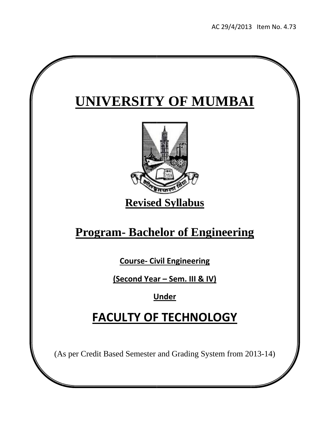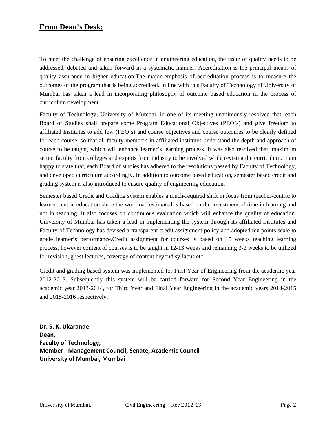# **From Dean's Desk:**

To meet the challenge of ensuring excellence in engineering education, the issue of quality needs to be addressed, debated and taken forward in a systematic manner. Accreditation is the principal means of quality assurance in higher education.The major emphasis of accreditation process is to measure the outcomes of the program that is being accredited. In line with this Faculty of Technology of University of Mumbai has taken a lead in incorporating philosophy of outcome based education in the process of curriculum development.

Faculty of Technology, University of Mumbai, in one of its meeting unanimously resolved that, each Board of Studies shall prepare some Program Educational Objectives (PEO's) and give freedom to affiliated Institutes to add few (PEO's) and course objectives and course outcomes to be clearly defined for each course, so that all faculty members in affiliated institutes understand the depth and approach of course to be taught, which will enhance learner's learning process. It was also resolved that, maximum senior faculty from colleges and experts from industry to be involved while revising the curriculum. I am happy to state that, each Board of studies has adhered to the resolutions passed by Faculty of Technology, and developed curriculum accordingly. In addition to outcome based education, semester based credit and grading system is also introduced to ensure quality of engineering education.

Semester based Credit and Grading system enables a much-required shift in focus from teacher-centric to learner-centric education since the workload estimated is based on the investment of time in learning and not in teaching. It also focuses on continuous evaluation which will enhance the quality of education. University of Mumbai has taken a lead in implementing the system through its affiliated Institutes and Faculty of Technology has devised a transparent credit assignment policy and adopted ten points scale to grade learner's performance.Credit assignment for courses is based on 15 weeks teaching learning process, however content of courses is to be taught in 12-13 weeks and remaining 3-2 weeks to be utilized for revision, guest lectures, coverage of content beyond syllabus etc.

Credit and grading based system was implemented for First Year of Engineering from the academic year 2012-2013. Subsequently this system will be carried forward for Second Year Engineering in the academic year 2013-2014, for Third Year and Final Year Engineering in the academic years 2014-2015 and 2015-2016 respectively.

**Dr. S. K. Ukarande** Dean, **Faculty of Technology, Member ‐ Management Council, Senate, Academic Council University of Mumbai, Mumbai**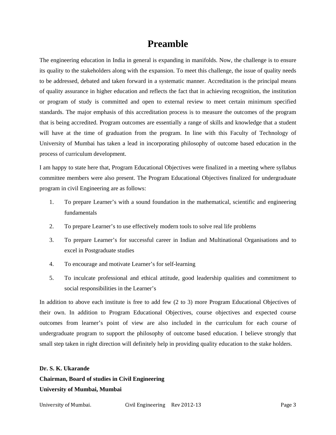# **Preamble**

The engineering education in India in general is expanding in manifolds. Now, the challenge is to ensure its quality to the stakeholders along with the expansion. To meet this challenge, the issue of quality needs to be addressed, debated and taken forward in a systematic manner. Accreditation is the principal means of quality assurance in higher education and reflects the fact that in achieving recognition, the institution or program of study is committed and open to external review to meet certain minimum specified standards. The major emphasis of this accreditation process is to measure the outcomes of the program that is being accredited. Program outcomes are essentially a range of skills and knowledge that a student will have at the time of graduation from the program. In line with this Faculty of Technology of University of Mumbai has taken a lead in incorporating philosophy of outcome based education in the process of curriculum development.

I am happy to state here that, Program Educational Objectives were finalized in a meeting where syllabus committee members were also present. The Program Educational Objectives finalized for undergraduate program in civil Engineering are as follows:

- 1. To prepare Learner's with a sound foundation in the mathematical, scientific and engineering fundamentals
- 2. To prepare Learner's to use effectively modern tools to solve real life problems
- 3. To prepare Learner's for successful career in Indian and Multinational Organisations and to excel in Postgraduate studies
- 4. To encourage and motivate Learner's for self-learning
- 5. To inculcate professional and ethical attitude, good leadership qualities and commitment to social responsibilities in the Learner's

In addition to above each institute is free to add few (2 to 3) more Program Educational Objectives of their own. In addition to Program Educational Objectives, course objectives and expected course outcomes from learner's point of view are also included in the curriculum for each course of undergraduate program to support the philosophy of outcome based education. I believe strongly that small step taken in right direction will definitely help in providing quality education to the stake holders.

**Dr. S. K. Ukarande Chairman, Board of studies in Civil Engineering University of Mumbai, Mumbai**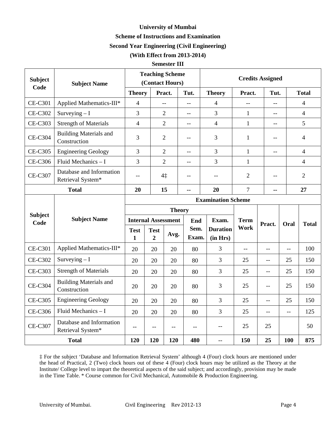# **University of Mumbai Scheme of Instructions and Examination**

# **Second Year Engineering (Civil Engineering)**

## **(With Effect from 2013-2014)**

## **Semester III**

| <b>Subject</b><br>Code | <b>Subject Name</b>                           |                | <b>Teaching Scheme</b><br>(Contact Hours) |                |                |                              |                | <b>Credits Assigned</b> |                          |                |  |
|------------------------|-----------------------------------------------|----------------|-------------------------------------------|----------------|----------------|------------------------------|----------------|-------------------------|--------------------------|----------------|--|
|                        |                                               | <b>Theory</b>  |                                           | Pract.         | Tut.           | <b>Theory</b>                | Pract.         | Tut.                    |                          | <b>Total</b>   |  |
| <b>CE-C301</b>         | Applied Mathematics-III*                      | $\overline{4}$ |                                           | $-$            | $\overline{a}$ | $\overline{4}$               | $-$            |                         |                          | $\overline{4}$ |  |
| <b>CE-C302</b>         | Surveying $-I$                                |                |                                           | $\overline{2}$ | $-$            | 3                            | $\mathbf{1}$   | $-$                     |                          | $\overline{4}$ |  |
| <b>CE-C303</b>         | <b>Strength of Materials</b>                  | $\overline{4}$ |                                           | $\overline{2}$ | $-$            | $\overline{4}$               | $\mathbf{1}$   | $-$                     |                          | 5              |  |
| <b>CE-C304</b>         | <b>Building Materials and</b><br>Construction | 3              |                                           | $\overline{2}$ | $-$            | 3                            | $\mathbf{1}$   | $-$                     |                          | $\overline{4}$ |  |
| <b>CE-C305</b>         | <b>Engineering Geology</b>                    | 3              |                                           | $\overline{2}$ | $\overline{a}$ | 3                            | $\mathbf{1}$   | $\overline{a}$          |                          | $\overline{4}$ |  |
| <b>CE-C306</b>         | Fluid Mechanics - I                           | 3              |                                           | $\overline{2}$ | $\overline{a}$ | 3                            | $\mathbf{1}$   |                         |                          | $\overline{4}$ |  |
| <b>CE-C307</b>         | Database and Information<br>Retrieval System* | $-$            |                                           | 4‡             | $ -$           | $\overline{2}$<br>$-$<br>$-$ |                |                         | $\overline{2}$           |                |  |
|                        | <b>Total</b>                                  | 20             |                                           | 15             | --             | 20                           | $\overline{7}$ | --                      |                          | 27             |  |
|                        |                                               |                |                                           |                |                | <b>Examination Scheme</b>    |                |                         |                          |                |  |
|                        |                                               | <b>Theory</b>  |                                           |                |                |                              |                |                         |                          |                |  |
| <b>Subject</b><br>Code | <b>Subject Name</b>                           |                | <b>Internal Assessment</b>                |                | End            | Exam.                        | <b>Term</b>    | Pract.                  | Oral                     | <b>Total</b>   |  |
|                        |                                               | <b>Test</b>    | <b>Test</b>                               | Avg.           | Sem.           | <b>Duration</b>              |                | Work                    |                          |                |  |
|                        |                                               | $\mathbf{1}$   | $\overline{2}$                            |                | Exam.          | (in Hrs)                     |                |                         |                          |                |  |
| <b>CE-C301</b>         | Applied Mathematics-III*                      | 20             | 20                                        | 20             | 80             | $\overline{3}$               | $-$            | $-$                     | $\overline{a}$           | 100            |  |
| <b>CE-C302</b>         | Surveying $-I$                                | 20             | 20                                        | 20             | 80             | 3                            | 25             | $-$                     | 25                       | 150            |  |
| <b>CE-C303</b>         | <b>Strength of Materials</b>                  | 20             | 20                                        | 20             | 80             | 3                            | 25             | $-$                     | 25                       | 150            |  |
| <b>CE-C304</b>         | <b>Building Materials and</b><br>Construction | 20             | 20                                        | 20             | 80             | 3                            | 25             | $-$                     | 25                       | 150            |  |
| <b>CE-C305</b>         | <b>Engineering Geology</b>                    | 20             | 20                                        | 20             | 80             | 3                            | 25             | $-$                     | 25                       | 150            |  |
| <b>CE-C306</b>         | Fluid Mechanics $- I$                         | 20             | 20                                        | 20             | 80             | 3                            | 25             | $-$                     | $\overline{\phantom{a}}$ | 125            |  |
| <b>CE-C307</b>         | Database and Information<br>Retrieval System* | $-$            | $-$                                       | $-$            | $-$            | $-$                          | 25             | 25                      |                          | 50             |  |
|                        | 120                                           | 120            | 120                                       | 480            | $-$            | 150                          | 25             | 100                     | 875                      |                |  |

‡ For the subject 'Database and Information Retrieval System' although 4 (Four) clock hours are mentioned under the head of Practical, 2 (Two) clock hours out of these 4 (Four) clock hours may be utilized as the Theory at the Institute/ College level to impart the theoretical aspects of the said subject; and accordingly, provision may be made in the Time Table. \* Course common for Civil Mechanical, Automobile & Production Engineering.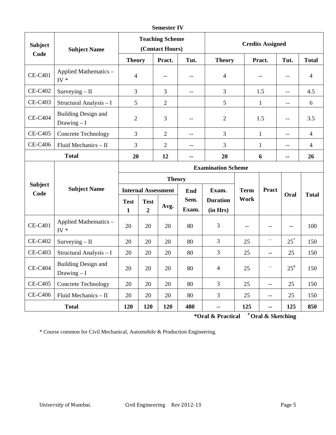| <b>Semester IV</b> |  |
|--------------------|--|
|--------------------|--|

| <b>Subject</b><br>Code | <b>Subject Name</b>                        |                  |                               | <b>Teaching Scheme</b><br>(Contact Hours) |               |                             | <b>Credits Assigned</b>                       |                          |                          |                |
|------------------------|--------------------------------------------|------------------|-------------------------------|-------------------------------------------|---------------|-----------------------------|-----------------------------------------------|--------------------------|--------------------------|----------------|
|                        |                                            | <b>Theory</b>    |                               | Pract.                                    | Tut.          | <b>Theory</b>               |                                               | Pract.                   | Tut.                     | <b>Total</b>   |
| <b>CE-C401</b>         | Applied Mathematics -<br>IV $*$            | $\overline{4}$   |                               | $-$                                       | $-$           | 4                           |                                               | $-$                      | $-$                      | $\overline{4}$ |
| <b>CE-C402</b>         | $Surveying - II$                           | $\overline{3}$   |                               | 3                                         | $-$           | 3                           |                                               | 1.5                      | $-$                      | 4.5            |
| <b>CE-C403</b>         | Structural Analysis - I                    | 5                |                               | $\overline{2}$                            |               | 5                           |                                               | $\mathbf{1}$             | $-$                      | 6              |
| <b>CE-C404</b>         | <b>Building Design and</b><br>Drawing $-I$ | $\mathbf{2}$     |                               | 3                                         | $-$           | $\overline{2}$              |                                               | 1.5                      | $-$                      | 3.5            |
| <b>CE-C405</b>         | <b>Concrete Technology</b>                 | $\overline{3}$   |                               | $\overline{2}$                            | $-$           | 3                           |                                               | $\mathbf{1}$             | $-$                      | $\overline{4}$ |
| <b>CE-C406</b>         | Fluid Mechanics - II                       | 3                |                               | $\overline{2}$                            | $-$           | 3                           |                                               | $\mathbf{1}$             | $-$                      | $\overline{4}$ |
|                        | <b>Total</b>                               | 20               |                               | 12                                        | --            | 20                          | 6                                             |                          | --                       | 26             |
|                        |                                            |                  |                               |                                           |               |                             | <b>Examination Scheme</b>                     |                          |                          |                |
|                        |                                            | <b>Theory</b>    |                               |                                           |               |                             |                                               |                          |                          |                |
| <b>Subject</b><br>Code | <b>Subject Name</b>                        |                  |                               | <b>Internal Assessment</b>                |               | Exam.                       | <b>Term</b>                                   | Pract                    | Oral                     | <b>Total</b>   |
|                        |                                            | <b>Test</b><br>1 | <b>Test</b><br>$\overline{2}$ | Avg.                                      | Sem.<br>Exam. | <b>Duration</b><br>(in Hrs) | Work                                          |                          |                          |                |
| <b>CE-C401</b>         | Applied Mathematics -<br>$IV*$             | 20               | 20                            | 20                                        | 80            | 3                           | $\mathord{\hspace{1pt}\text{--}\hspace{1pt}}$ | $-$                      | $\overline{\phantom{m}}$ | 100            |
| <b>CE-C402</b>         | $Surveying - II$                           | 20               | 20                            | 20                                        | 80            | 3                           | 25                                            | $\mathbb{Z}^2$           | $25^*$                   | 150            |
| <b>CE-C403</b>         | Structural Analysis - I                    | 20               | 20                            | 20                                        | 80            | 3                           | 25                                            | $\overline{a}$           | 25                       | 150            |
| <b>CE-C404</b>         | <b>Building Design and</b><br>Drawing $-I$ | 20               | 20                            | 20                                        | 80            | $\overline{4}$              | 25                                            | $\overline{\phantom{a}}$ | $25^{#}$                 | 150            |
| <b>CE-C405</b>         | <b>Concrete Technology</b>                 | 20               | 20                            | 20                                        | 80            | 3                           | 25                                            | $-$                      | 25                       | 150            |
| <b>CE-C406</b>         | Fluid Mechanics - II                       | 20               | 20                            | 20                                        | 80            | 3                           | 25                                            | $\overline{a}$           | 25                       | 150            |
|                        | <b>Total</b>                               | 120              | 120                           | 120                                       | 480           | $-$                         | 125                                           | --                       | 125                      | 850            |

**\*Oral & Practical # Oral & Sketching** 

\* Course common for Civil Mechanical, Automobile & Production Engineering.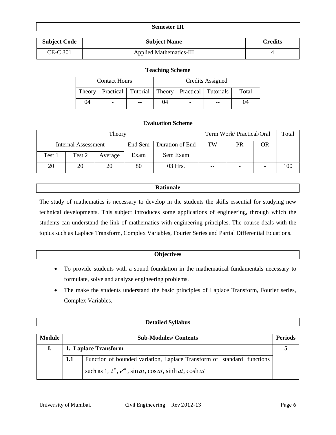|                     | <b>Semester III</b>            |                |
|---------------------|--------------------------------|----------------|
| <b>Subject Code</b> | <b>Subject Name</b>            | <b>Credits</b> |
| CE-C 301            | <b>Applied Mathematics-III</b> |                |

## **Teaching Scheme**

| <b>Contact Hours</b> |  |    | Credits Assigned                                               |                          |    |    |  |
|----------------------|--|----|----------------------------------------------------------------|--------------------------|----|----|--|
| Theory               |  |    | Practical   Tutorial   Theory   Practical   Tutorials<br>Total |                          |    |    |  |
| 04                   |  | -- | 04                                                             | $\overline{\phantom{0}}$ | -- | 04 |  |

## **Evaluation Scheme**

|        | Theory              |         |      |                            |       |    | Term Work/ Practical/Oral |     |  |  |
|--------|---------------------|---------|------|----------------------------|-------|----|---------------------------|-----|--|--|
|        | Internal Assessment |         |      | Duration of End<br>End Sem | TW    | PR | OR                        |     |  |  |
| Test 1 | Test 2              | Average | Exam | Sem Exam                   |       |    |                           |     |  |  |
| 20     | 20                  | 20      | 80   | 03 Hrs.                    | $- -$ |    |                           | 100 |  |  |

## **Rationale**

The study of mathematics is necessary to develop in the students the skills essential for studying new technical developments. This subject introduces some applications of engineering, through which the students can understand the link of mathematics with engineering principles. The course deals with the topics such as Laplace Transform, Complex Variables, Fourier Series and Partial Differential Equations.

## **Objectives**

- To provide students with a sound foundation in the mathematical fundamentals necessary to formulate, solve and analyze engineering problems.
- The make the students understand the basic principles of Laplace Transform, Fourier series, Complex Variables.

# **Detailed Syllabus**

| <b>Module</b> |     | <b>Sub-Modules/Contents</b>                                                   | <b>Periods</b> |
|---------------|-----|-------------------------------------------------------------------------------|----------------|
|               |     | 1. Laplace Transform                                                          |                |
|               | 1.1 | Function of bounded variation, Laplace Transform of standard functions        |                |
|               |     | such as 1, $t^n$ , $e^{at}$ , $\sin at$ , $\cos at$ , $\sinh at$ , $\cosh at$ |                |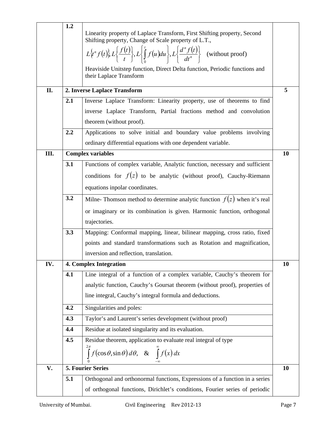|      | 1.2 |                                                                                                                                              |    |
|------|-----|----------------------------------------------------------------------------------------------------------------------------------------------|----|
|      |     | Linearity property of Laplace Transform, First Shifting property, Second<br>Shifting property, Change of Scale property of L.T.,             |    |
|      |     | $L\{t^n f(t)\}, L\left\{\frac{f(t)}{t}\right\}, L\left\{\int_{0}^{t} f(u) du\right\}, L\left\{\frac{d^n f(t)}{dt^n}\right\}$ (without proof) |    |
|      |     | Heaviside Unitstep function, Direct Delta function, Periodic functions and<br>their Laplace Transform                                        |    |
| II.  |     | 2. Inverse Laplace Transform                                                                                                                 | 5  |
|      | 2.1 | Inverse Laplace Transform: Linearity property, use of theorems to find                                                                       |    |
|      |     | inverse Laplace Transform, Partial fractions method and convolution                                                                          |    |
|      |     | theorem (without proof).                                                                                                                     |    |
|      | 2.2 | Applications to solve initial and boundary value problems involving                                                                          |    |
|      |     | ordinary differential equations with one dependent variable.                                                                                 |    |
| III. |     | <b>Complex variables</b>                                                                                                                     | 10 |
|      | 3.1 | Functions of complex variable, Analytic function, necessary and sufficient                                                                   |    |
|      |     | conditions for $f(z)$ to be analytic (without proof), Cauchy-Riemann                                                                         |    |
|      |     | equations inpolar coordinates.                                                                                                               |    |
|      | 3.2 | Milne- Thomson method to determine analytic function $f(z)$ when it's real                                                                   |    |
|      |     | or imaginary or its combination is given. Harmonic function, orthogonal                                                                      |    |
|      |     | trajectories.                                                                                                                                |    |
|      | 3.3 | Mapping: Conformal mapping, linear, bilinear mapping, cross ratio, fixed                                                                     |    |
|      |     | points and standard transformations such as Rotation and magnification,                                                                      |    |
|      |     | inversion and reflection, translation.                                                                                                       |    |
| IV.  |     | <b>4. Complex Integration</b>                                                                                                                | 10 |
|      | 4.1 | Line integral of a function of a complex variable, Cauchy's theorem for                                                                      |    |
|      |     | analytic function, Cauchy's Goursat theorem (without proof), properties of                                                                   |    |
|      |     | line integral, Cauchy's integral formula and deductions.                                                                                     |    |
|      | 4.2 | Singularities and poles:                                                                                                                     |    |
|      | 4.3 | Taylor's and Laurent's series development (without proof)                                                                                    |    |
|      | 4.4 | Residue at isolated singularity and its evaluation.                                                                                          |    |
|      | 4.5 | Residue theorem, application to evaluate real integral of type                                                                               |    |
|      |     | $\int_{0}^{2\pi} f(\cos\theta, \sin\theta) d\theta, \& \int_{-\infty}^{\infty} f(x) dx$                                                      |    |
| V.   |     | <b>5. Fourier Series</b>                                                                                                                     | 10 |
|      | 5.1 | Orthogonal and orthonormal functions, Expressions of a function in a series                                                                  |    |
|      |     | of orthogonal functions, Dirichlet's conditions, Fourier series of periodic                                                                  |    |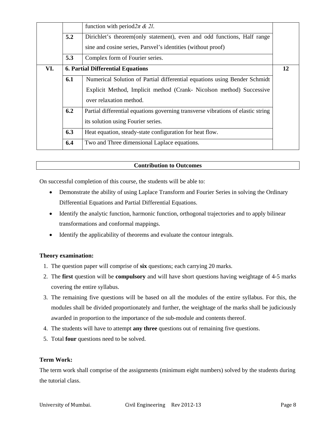|     |     | function with period $2\pi \& 2l$ .                                              |    |
|-----|-----|----------------------------------------------------------------------------------|----|
|     | 5.2 | Dirichlet's theorem (only statement), even and odd functions, Half range         |    |
|     |     | sine and cosine series, Parsvel's identities (without proof)                     |    |
|     | 5.3 | Complex form of Fourier series.                                                  |    |
| VI. |     | <b>6. Partial Differential Equations</b>                                         | 12 |
|     | 6.1 | Numerical Solution of Partial differential equations using Bender Schmidt        |    |
|     |     | Explicit Method, Implicit method (Crank- Nicolson method) Successive             |    |
|     |     | over relaxation method.                                                          |    |
|     | 6.2 | Partial differential equations governing transverse vibrations of elastic string |    |
|     |     | its solution using Fourier series.                                               |    |
|     | 6.3 | Heat equation, steady-state configuration for heat flow.                         |    |
|     | 6.4 | Two and Three dimensional Laplace equations.                                     |    |

On successful completion of this course, the students will be able to:

- Demonstrate the ability of using Laplace Transform and Fourier Series in solving the Ordinary Differential Equations and Partial Differential Equations.
- Identify the analytic function, harmonic function, orthogonal trajectories and to apply bilinear transformations and conformal mappings.
- Identify the applicability of theorems and evaluate the contour integrals.

## **Theory examination:**

- 1. The question paper will comprise of **six** questions; each carrying 20 marks.
- 2. The **first** question will be **compulsory** and will have short questions having weightage of 4-5 marks covering the entire syllabus.
- 3. The remaining five questions will be based on all the modules of the entire syllabus. For this, the modules shall be divided proportionately and further, the weightage of the marks shall be judiciously awarded in proportion to the importance of the sub-module and contents thereof.
- 4. The students will have to attempt **any three** questions out of remaining five questions.
- 5. Total **four** questions need to be solved.

## **Term Work:**

The term work shall comprise of the assignments (minimum eight numbers) solved by the students during the tutorial class.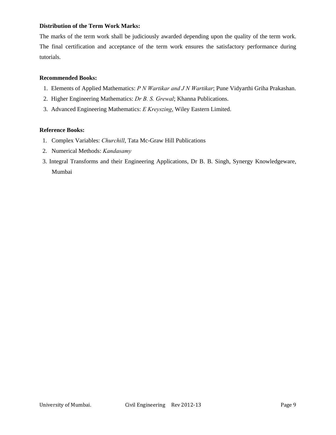## **Distribution of the Term Work Marks:**

The marks of the term work shall be judiciously awarded depending upon the quality of the term work. The final certification and acceptance of the term work ensures the satisfactory performance during tutorials.

## **Recommended Books:**

- 1. Elements of Applied Mathematics: *P N Wartikar and J N Wartikar*; Pune Vidyarthi Griha Prakashan.
- 2. Higher Engineering Mathematics: *Dr B. S. Grewal*; Khanna Publications.
- 3. Advanced Engineering Mathematics: *E Kreyszing*, Wiley Eastern Limited.

## **Reference Books:**

- 1. Complex Variables: *Churchill*, Tata Mc-Graw Hill Publications
- 2. Numerical Methods: *Kandasamy*
- 3. Integral Transforms and their Engineering Applications, Dr B. B. Singh, Synergy Knowledgeware, Mumbai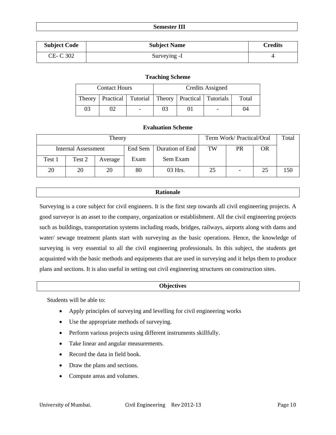#### **Semester III**

| <b>Subject Code</b> | <b>Subject Name</b> | <b>Credits</b> |
|---------------------|---------------------|----------------|
| CE- C 302           | Surveying -I        |                |

#### **Teaching Scheme**

|    | <b>Contact Hours</b> | Credits Assigned                                                        |  |  |    |  |
|----|----------------------|-------------------------------------------------------------------------|--|--|----|--|
|    |                      | Theory   Practical   Tutorial   Theory   Practical   Tutorials<br>Total |  |  |    |  |
| 03 |                      |                                                                         |  |  | 04 |  |

## **Evaluation Scheme**

|                            | Term Work/ Practical/Oral | Total   |      |                           |    |    |    |     |
|----------------------------|---------------------------|---------|------|---------------------------|----|----|----|-----|
| <b>Internal Assessment</b> |                           |         |      | End Sem   Duration of End | TW | PR | OR |     |
| Test 1                     | Test 2                    | Average | Exam | Sem Exam                  |    |    |    |     |
| 20                         | 20                        | 20      | 80   | 03 Hrs.                   | 25 |    | 25 | 150 |

## **Rationale**

Surveying is a core subject for civil engineers. It is the first step towards all civil engineering projects. A good surveyor is an asset to the company, organization or establishment. All the civil engineering projects such as buildings, transportation systems including roads, bridges, railways, airports along with dams and water/ sewage treatment plants start with surveying as the basic operations. Hence, the knowledge of surveying is very essential to all the civil engineering professionals. In this subject, the students get acquainted with the basic methods and equipments that are used in surveying and it helps them to produce plans and sections. It is also useful in setting out civil engineering structures on construction sites.

#### **Objectives**

Students will be able to:

- Apply principles of surveying and levelling for civil engineering works
- Use the appropriate methods of surveying.
- Perform various projects using different instruments skillfully.
- Take linear and angular measurements.
- Record the data in field book.
- Draw the plans and sections.
- Compute areas and volumes.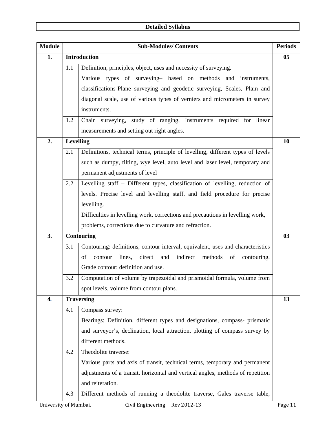| <b>Module</b> | <b>Sub-Modules/Contents</b><br><b>Periods</b>                                |                                                                                 |    |  |  |  |  |
|---------------|------------------------------------------------------------------------------|---------------------------------------------------------------------------------|----|--|--|--|--|
| 1.            |                                                                              | <b>Introduction</b>                                                             | 05 |  |  |  |  |
|               | 1.1                                                                          | Definition, principles, object, uses and necessity of surveying.                |    |  |  |  |  |
|               |                                                                              | Various types of surveying- based on methods and instruments,                   |    |  |  |  |  |
|               |                                                                              | classifications-Plane surveying and geodetic surveying, Scales, Plain and       |    |  |  |  |  |
|               |                                                                              | diagonal scale, use of various types of verniers and micrometers in survey      |    |  |  |  |  |
|               |                                                                              | instruments.                                                                    |    |  |  |  |  |
|               | 1.2                                                                          | Chain surveying, study of ranging, Instruments required for linear              |    |  |  |  |  |
|               |                                                                              | measurements and setting out right angles.                                      |    |  |  |  |  |
| 2.            | <b>Levelling</b>                                                             |                                                                                 |    |  |  |  |  |
|               | 2.1                                                                          | Definitions, technical terms, principle of levelling, different types of levels |    |  |  |  |  |
|               | such as dumpy, tilting, wye level, auto level and laser level, temporary and |                                                                                 |    |  |  |  |  |
|               |                                                                              | permanent adjustments of level                                                  |    |  |  |  |  |
|               | 2.2                                                                          | Levelling staff - Different types, classification of levelling, reduction of    |    |  |  |  |  |
|               |                                                                              | levels. Precise level and levelling staff, and field procedure for precise      |    |  |  |  |  |
|               |                                                                              | levelling.                                                                      |    |  |  |  |  |
|               |                                                                              | Difficulties in levelling work, corrections and precautions in levelling work,  |    |  |  |  |  |
|               |                                                                              | problems, corrections due to curvature and refraction.                          |    |  |  |  |  |
| 3.            |                                                                              | <b>Contouring</b>                                                               | 03 |  |  |  |  |
|               | 3.1                                                                          | Contouring: definitions, contour interval, equivalent, uses and characteristics |    |  |  |  |  |
|               |                                                                              | lines, direct and<br>indirect<br>of<br>contour<br>methods<br>of<br>contouring.  |    |  |  |  |  |
|               |                                                                              | Grade contour: definition and use.                                              |    |  |  |  |  |
|               | 3.2                                                                          | Computation of volume by trapezoidal and prismoidal formula, volume from        |    |  |  |  |  |
|               |                                                                              | spot levels, volume from contour plans.                                         |    |  |  |  |  |
| 4.            |                                                                              | <b>Traversing</b>                                                               | 13 |  |  |  |  |
|               | 4.1                                                                          | Compass survey:                                                                 |    |  |  |  |  |
|               |                                                                              | Bearings: Definition, different types and designations, compass- prismatic      |    |  |  |  |  |
|               |                                                                              | and surveyor's, declination, local attraction, plotting of compass survey by    |    |  |  |  |  |
|               |                                                                              | different methods.                                                              |    |  |  |  |  |
|               | 4.2                                                                          | Theodolite traverse:                                                            |    |  |  |  |  |
|               |                                                                              | Various parts and axis of transit, technical terms, temporary and permanent     |    |  |  |  |  |
|               |                                                                              | adjustments of a transit, horizontal and vertical angles, methods of repetition |    |  |  |  |  |
|               |                                                                              | and reiteration.                                                                |    |  |  |  |  |
|               | 4.3                                                                          | Different methods of running a theodolite traverse, Gales traverse table,       |    |  |  |  |  |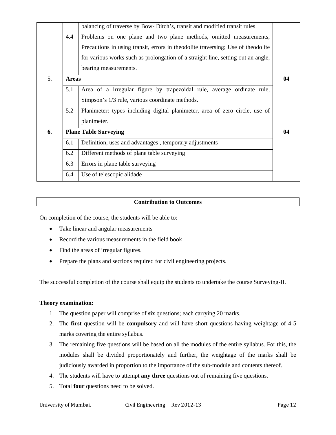|    |              | balancing of traverse by Bow-Ditch's, transit and modified transit rules         |    |
|----|--------------|----------------------------------------------------------------------------------|----|
|    |              |                                                                                  |    |
|    | 4.4          | Problems on one plane and two plane methods, omitted measurements,               |    |
|    |              | Precautions in using transit, errors in theodolite traversing; Use of theodolite |    |
|    |              | for various works such as prolongation of a straight line, setting out an angle, |    |
|    |              | bearing measurements.                                                            |    |
| 5. | <b>Areas</b> |                                                                                  | 04 |
|    | 5.1          | Area of a irregular figure by trapezoidal rule, average ordinate rule,           |    |
|    |              | Simpson's 1/3 rule, various coordinate methods.                                  |    |
|    | 5.2          | Planimeter: types including digital planimeter, area of zero circle, use of      |    |
|    |              | planimeter.                                                                      |    |
| 6. |              | <b>Plane Table Surveying</b>                                                     | 04 |
|    | 6.1          | Definition, uses and advantages, temporary adjustments                           |    |
|    | 6.2          | Different methods of plane table surveying                                       |    |
|    | 6.3          | Errors in plane table surveying                                                  |    |
|    | 6.4          | Use of telescopic alidade                                                        |    |
|    |              |                                                                                  |    |

On completion of the course, the students will be able to:

- Take linear and angular measurements
- Record the various measurements in the field book
- Find the areas of irregular figures.
- Prepare the plans and sections required for civil engineering projects.

The successful completion of the course shall equip the students to undertake the course Surveying-II.

#### **Theory examination:**

- 1. The question paper will comprise of **six** questions; each carrying 20 marks.
- 2. The **first** question will be **compulsory** and will have short questions having weightage of 4-5 marks covering the entire syllabus.
- 3. The remaining five questions will be based on all the modules of the entire syllabus. For this, the modules shall be divided proportionately and further, the weightage of the marks shall be judiciously awarded in proportion to the importance of the sub-module and contents thereof.
- 4. The students will have to attempt **any three** questions out of remaining five questions.
- 5. Total **four** questions need to be solved.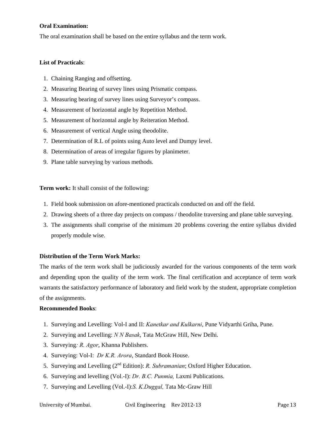## **Oral Examination:**

The oral examination shall be based on the entire syllabus and the term work.

#### **List of Practicals**:

- 1. Chaining Ranging and offsetting.
- 2. Measuring Bearing of survey lines using Prismatic compass.
- 3. Measuring bearing of survey lines using Surveyor's compass.
- 4. Measurement of horizontal angle by Repetition Method.
- 5. Measurement of horizontal angle by Reiteration Method.
- 6. Measurement of vertical Angle using theodolite.
- 7. Determination of R.L of points using Auto level and Dumpy level.
- 8. Determination of areas of irregular figures by planimeter.
- 9. Plane table surveying by various methods.

**Term work:** It shall consist of the following:

- 1. Field book submission on afore-mentioned practicals conducted on and off the field.
- 2. Drawing sheets of a three day projects on compass / theodolite traversing and plane table surveying.
- 3. The assignments shall comprise of the minimum 20 problems covering the entire syllabus divided properly module wise.

## **Distribution of the Term Work Marks:**

The marks of the term work shall be judiciously awarded for the various components of the term work and depending upon the quality of the term work. The final certification and acceptance of term work warrants the satisfactory performance of laboratory and field work by the student, appropriate completion of the assignments.

#### **Recommended Books**:

- 1. Surveying and Levelling: Vol-I and II: *Kanetkar and Kulkarni*, Pune Vidyarthi Griha, Pune.
- 2. Surveying and Levelling: *N N Basak*, Tata McGraw Hill, New Delhi.
- 3. Surveying*: R. Agor*, Khanna Publishers.
- 4. Surveying: Vol-I: *Dr K.R. Arora*, Standard Book House.
- 5. Surveying and Levelling (2nd Edition): *R. Subramanian*; Oxford Higher Education.
- 6. Surveying and levelling (Vol.-I): *Dr. B.C. Punmia,* Laxmi Publications.
- 7. Surveying and Levelling (Vol.-I):*S. K.Duggal,* Tata Mc-Graw Hill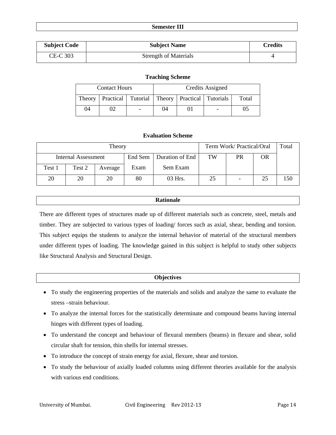#### **Semester III**

| <b>Subject Code</b> | <b>Subject Name</b>          | Credits |
|---------------------|------------------------------|---------|
| CE-C 303            | <b>Strength of Materials</b> |         |

#### **Teaching Scheme**

|    | <b>Contact Hours</b>                                           |                          | Credits Assigned |  |  |       |
|----|----------------------------------------------------------------|--------------------------|------------------|--|--|-------|
|    | Theory   Practical   Tutorial   Theory   Practical   Tutorials |                          |                  |  |  | Total |
| 04 |                                                                | $\overline{\phantom{a}}$ | 04               |  |  |       |

## **Evaluation Scheme**

| Theory              |        |         |         |                 |    | Term Work/ Practical/Oral |           |     |
|---------------------|--------|---------|---------|-----------------|----|---------------------------|-----------|-----|
| Internal Assessment |        |         | End Sem | Duration of End | TW | PR                        | <b>OR</b> |     |
| Test 1              | Test 2 | Average | Exam    | Sem Exam        |    |                           |           |     |
| 20                  | 20     | 20      | 80      | 03 Hrs.         | 25 |                           | 25        | 150 |

## **Rationale**

There are different types of structures made up of different materials such as concrete, steel, metals and timber. They are subjected to various types of loading/ forces such as axial, shear, bending and torsion. This subject equips the students to analyze the internal behavior of material of the structural members under different types of loading. The knowledge gained in this subject is helpful to study other subjects like Structural Analysis and Structural Design.

#### **Objectives**

- To study the engineering properties of the materials and solids and analyze the same to evaluate the stress –strain behaviour.
- To analyze the internal forces for the statistically determinate and compound beams having internal hinges with different types of loading.
- To understand the concept and behaviour of flexural members (beams) in flexure and shear, solid circular shaft for tension, thin shells for internal stresses.
- To introduce the concept of strain energy for axial, flexure, shear and torsion.
- To study the behaviour of axially loaded columns using different theories available for the analysis with various end conditions.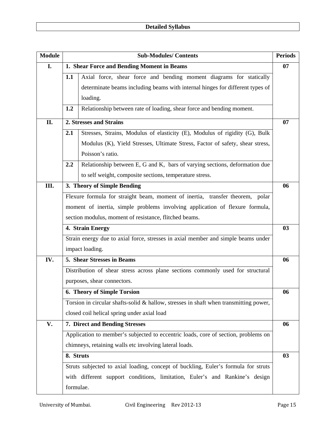| <b>Module</b> | <b>Sub-Modules/Contents</b>                                                        |                                                                                         |    |  |  |  |  |
|---------------|------------------------------------------------------------------------------------|-----------------------------------------------------------------------------------------|----|--|--|--|--|
| I.            |                                                                                    | 1. Shear Force and Bending Moment in Beams                                              | 07 |  |  |  |  |
|               | 1.1                                                                                | Axial force, shear force and bending moment diagrams for statically                     |    |  |  |  |  |
|               |                                                                                    | determinate beams including beams with internal hinges for different types of           |    |  |  |  |  |
|               |                                                                                    | loading.                                                                                |    |  |  |  |  |
|               | 1.2                                                                                | Relationship between rate of loading, shear force and bending moment.                   |    |  |  |  |  |
| II.           |                                                                                    | 2. Stresses and Strains                                                                 | 07 |  |  |  |  |
|               | 2.1                                                                                | Stresses, Strains, Modulus of elasticity (E), Modulus of rigidity (G), Bulk             |    |  |  |  |  |
|               | Modulus (K), Yield Stresses, Ultimate Stress, Factor of safety, shear stress,      |                                                                                         |    |  |  |  |  |
|               | Poisson's ratio.                                                                   |                                                                                         |    |  |  |  |  |
|               | Relationship between E, G and K, bars of varying sections, deformation due<br>2.2  |                                                                                         |    |  |  |  |  |
|               |                                                                                    | to self weight, composite sections, temperature stress.                                 |    |  |  |  |  |
| III.          |                                                                                    | 3. Theory of Simple Bending                                                             | 06 |  |  |  |  |
|               |                                                                                    | Flexure formula for straight beam, moment of inertia, transfer theorem, polar           |    |  |  |  |  |
|               | moment of inertia, simple problems involving application of flexure formula,       |                                                                                         |    |  |  |  |  |
|               | section modulus, moment of resistance, flitched beams.                             |                                                                                         |    |  |  |  |  |
|               | 4. Strain Energy                                                                   |                                                                                         |    |  |  |  |  |
|               |                                                                                    | Strain energy due to axial force, stresses in axial member and simple beams under       |    |  |  |  |  |
|               |                                                                                    | impact loading.                                                                         |    |  |  |  |  |
| IV.           |                                                                                    | 5. Shear Stresses in Beams                                                              | 06 |  |  |  |  |
|               |                                                                                    | Distribution of shear stress across plane sections commonly used for structural         |    |  |  |  |  |
|               |                                                                                    | purposes, shear connectors.                                                             |    |  |  |  |  |
|               |                                                                                    | <b>6. Theory of Simple Torsion</b>                                                      | 06 |  |  |  |  |
|               |                                                                                    | Torsion in circular shafts-solid $&$ hallow, stresses in shaft when transmitting power, |    |  |  |  |  |
|               |                                                                                    | closed coil helical spring under axial load                                             |    |  |  |  |  |
| V.            |                                                                                    | 7. Direct and Bending Stresses                                                          | 06 |  |  |  |  |
|               | Application to member's subjected to eccentric loads, core of section, problems on |                                                                                         |    |  |  |  |  |
|               | chimneys, retaining walls etc involving lateral loads.                             |                                                                                         |    |  |  |  |  |
|               | 8. Struts                                                                          |                                                                                         |    |  |  |  |  |
|               |                                                                                    | Struts subjected to axial loading, concept of buckling, Euler's formula for struts      |    |  |  |  |  |
|               |                                                                                    | with different support conditions, limitation, Euler's and Rankine's design             |    |  |  |  |  |
|               | formulae.                                                                          |                                                                                         |    |  |  |  |  |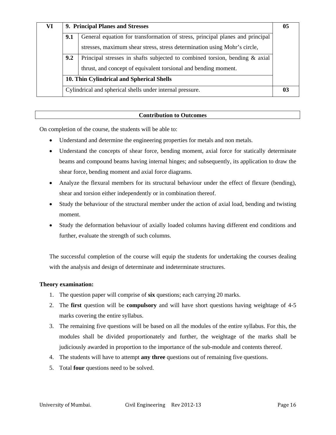| VI                                                                        | 9. Principal Planes and Stresses          |                                                                                |    |  |  |  |  |
|---------------------------------------------------------------------------|-------------------------------------------|--------------------------------------------------------------------------------|----|--|--|--|--|
|                                                                           | 9.1                                       | General equation for transformation of stress, principal planes and principal  |    |  |  |  |  |
| stresses, maximum shear stress, stress determination using Mohr's circle, |                                           |                                                                                |    |  |  |  |  |
|                                                                           | 9.2                                       | Principal stresses in shafts subjected to combined torsion, bending $\&$ axial |    |  |  |  |  |
|                                                                           |                                           | thrust, and concept of equivalent torsional and bending moment.                |    |  |  |  |  |
|                                                                           | 10. Thin Cylindrical and Spherical Shells |                                                                                |    |  |  |  |  |
|                                                                           |                                           | Cylindrical and spherical shells under internal pressure.                      | 03 |  |  |  |  |

On completion of the course, the students will be able to:

- Understand and determine the engineering properties for metals and non metals.
- Understand the concepts of shear force, bending moment, axial force for statically determinate beams and compound beams having internal hinges; and subsequently, its application to draw the shear force, bending moment and axial force diagrams.
- Analyze the flexural members for its structural behaviour under the effect of flexure (bending), shear and torsion either independently or in combination thereof.
- Study the behaviour of the structural member under the action of axial load, bending and twisting moment.
- Study the deformation behaviour of axially loaded columns having different end conditions and further, evaluate the strength of such columns.

The successful completion of the course will equip the students for undertaking the courses dealing with the analysis and design of determinate and indeterminate structures.

## **Theory examination:**

- 1. The question paper will comprise of **six** questions; each carrying 20 marks.
- 2. The **first** question will be **compulsory** and will have short questions having weightage of 4-5 marks covering the entire syllabus.
- 3. The remaining five questions will be based on all the modules of the entire syllabus. For this, the modules shall be divided proportionately and further, the weightage of the marks shall be judiciously awarded in proportion to the importance of the sub-module and contents thereof.
- 4. The students will have to attempt **any three** questions out of remaining five questions.
- 5. Total **four** questions need to be solved.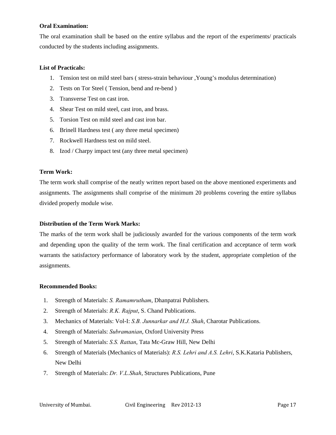## **Oral Examination:**

The oral examination shall be based on the entire syllabus and the report of the experiments/ practicals conducted by the students including assignments.

## **List of Practicals:**

- 1. Tension test on mild steel bars ( stress-strain behaviour ,Young's modulus determination)
- 2. Tests on Tor Steel ( Tension, bend and re-bend )
- 3. Transverse Test on cast iron.
- 4. Shear Test on mild steel, cast iron, and brass.
- 5. Torsion Test on mild steel and cast iron bar.
- 6. Brinell Hardness test ( any three metal specimen)
- 7. Rockwell Hardness test on mild steel.
- 8. Izod / Charpy impact test (any three metal specimen)

## **Term Work:**

The term work shall comprise of the neatly written report based on the above mentioned experiments and assignments. The assignments shall comprise of the minimum 20 problems covering the entire syllabus divided properly module wise.

## **Distribution of the Term Work Marks:**

The marks of the term work shall be judiciously awarded for the various components of the term work and depending upon the quality of the term work. The final certification and acceptance of term work warrants the satisfactory performance of laboratory work by the student, appropriate completion of the assignments.

#### **Recommended Books:**

- 1. Strength of Materials: *S. Ramamrutham*, Dhanpatrai Publishers.
- 2. Strength of Materials: *R.K. Rajput*, S. Chand Publications.
- 3. Mechanics of Materials: Vol-I: *S.B. Junnarkar and H.J. Shah*, Charotar Publications.
- 4. Strength of Materials: *Subramanian*, Oxford University Press
- 5. Strength of Materials: *S.S. Rattan*, Tata Mc-Graw Hill, New Delhi
- 6. Strength of Materials (Mechanics of Materials): *R.S. Lehri and A.S. Lehri*, S.K.Kataria Publishers, New Delhi
- 7. Strength of Materials: *Dr. V.L.Shah*, Structures Publications, Pune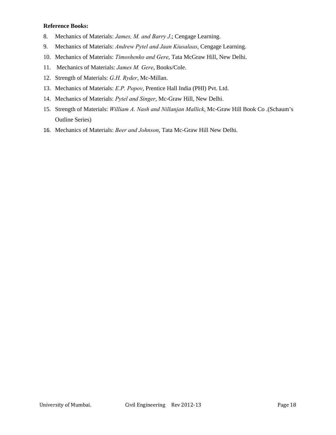## **Reference Books:**

- 8. Mechanics of Materials: *James, M. and Barry J*.; Cengage Learning.
- 9. Mechanics of Materials: *Andrew Pytel and Jaan Kiusalaas*, Cengage Learning.
- 10. Mechanics of Materials: *Timoshenko and Gere*, Tata McGraw Hill, New Delhi.
- 11. Mechanics of Materials: *James M. Gere*, Books/Cole.
- 12. Strength of Materials: *G.H. Ryder*, Mc-Millan.
- 13. Mechanics of Materials: *E.P. Popov*, Prentice Hall India (PHI) Pvt. Ltd.
- 14. Mechanics of Materials: *Pytel and Singer*, Mc-Graw Hill, New Delhi.
- 15. Strength of Materials: *William A. Nash and Nillanjan Mallick*, Mc-Graw Hill Book Co .(Schaum's Outline Series)
- 16. Mechanics of Materials: *Beer and Johnson*, Tata Mc-Graw Hill New Delhi.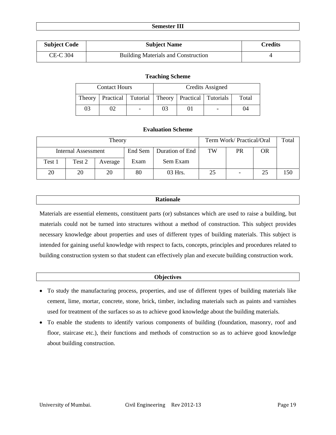#### **Semester III**

| <b>Subject Code</b> | <b>Subject Name</b>                        | <b>Credits</b> |
|---------------------|--------------------------------------------|----------------|
| CE-C 304            | <b>Building Materials and Construction</b> |                |

#### **Teaching Scheme**

|                                                                   | <b>Contact Hours</b> | Credits Assigned |  |  |       |
|-------------------------------------------------------------------|----------------------|------------------|--|--|-------|
| Practical   Tutorial   Theory   Practical   Tutorials  <br>Theory |                      |                  |  |  | Total |
| 03                                                                |                      |                  |  |  | 11    |

## **Evaluation Scheme**

|                     | Term Work/Practical/Oral | Total   |         |                 |    |    |    |     |
|---------------------|--------------------------|---------|---------|-----------------|----|----|----|-----|
| Internal Assessment |                          |         | End Sem | Duration of End | TW | PR | OR |     |
| Test 1              | Test 2                   | Average | Exam    | Sem Exam        |    |    |    |     |
| 20                  | 20                       | 20      | 80      | 03 Hrs.         | 25 |    | 25 | 150 |

## **Rationale**

Materials are essential elements, constituent parts (or) substances which are used to raise a building, but materials could not be turned into structures without a method of construction. This subject provides necessary knowledge about properties and uses of different types of building materials. This subject is intended for gaining useful knowledge with respect to facts, concepts, principles and procedures related to building construction system so that student can effectively plan and execute building construction work.

#### **Objectives**

- To study the manufacturing process, properties, and use of different types of building materials like cement, lime, mortar, concrete, stone, brick, timber, including materials such as paints and varnishes used for treatment of the surfaces so as to achieve good knowledge about the building materials.
- To enable the students to identify various components of building (foundation, masonry, roof and floor, staircase etc.), their functions and methods of construction so as to achieve good knowledge about building construction.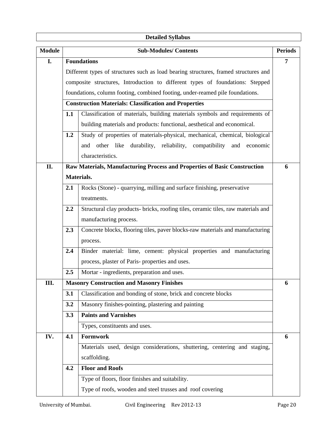# **Detailed Syllabus**

| <b>Module</b> |                                                                                          | <b>Sub-Modules/Contents</b>                                                          | <b>Periods</b> |  |  |  |  |
|---------------|------------------------------------------------------------------------------------------|--------------------------------------------------------------------------------------|----------------|--|--|--|--|
| I.            |                                                                                          | <b>Foundations</b>                                                                   | 7              |  |  |  |  |
|               |                                                                                          | Different types of structures such as load bearing structures, framed structures and |                |  |  |  |  |
|               |                                                                                          | composite structures, Introduction to different types of foundations: Stepped        |                |  |  |  |  |
|               |                                                                                          | foundations, column footing, combined footing, under-reamed pile foundations.        |                |  |  |  |  |
|               |                                                                                          | <b>Construction Materials: Classification and Properties</b>                         |                |  |  |  |  |
|               | 1.1                                                                                      | Classification of materials, building materials symbols and requirements of          |                |  |  |  |  |
|               |                                                                                          | building materials and products: functional, aesthetical and economical.             |                |  |  |  |  |
|               | 1.2                                                                                      | Study of properties of materials-physical, mechanical, chemical, biological          |                |  |  |  |  |
|               | other like durability, reliability,<br>compatibility<br>and economic<br>and              |                                                                                      |                |  |  |  |  |
|               | characteristics.                                                                         |                                                                                      |                |  |  |  |  |
| II.           |                                                                                          | Raw Materials, Manufacturing Process and Properties of Basic Construction            | 6              |  |  |  |  |
|               |                                                                                          | Materials.                                                                           |                |  |  |  |  |
|               | Rocks (Stone) - quarrying, milling and surface finishing, preservative<br>2.1            |                                                                                      |                |  |  |  |  |
|               | treatments.                                                                              |                                                                                      |                |  |  |  |  |
|               | 2.2<br>Structural clay products- bricks, roofing tiles, ceramic tiles, raw materials and |                                                                                      |                |  |  |  |  |
|               | manufacturing process.                                                                   |                                                                                      |                |  |  |  |  |
|               | 2.3                                                                                      | Concrete blocks, flooring tiles, paver blocks-raw materials and manufacturing        |                |  |  |  |  |
|               |                                                                                          | process.                                                                             |                |  |  |  |  |
|               | 2.4                                                                                      | Binder material: lime, cement: physical properties and manufacturing                 |                |  |  |  |  |
|               |                                                                                          | process, plaster of Paris- properties and uses.                                      |                |  |  |  |  |
|               | 2.5                                                                                      | Mortar - ingredients, preparation and uses.                                          |                |  |  |  |  |
| Ш.            |                                                                                          | <b>Masonry Construction and Masonry Finishes</b>                                     | 6              |  |  |  |  |
|               | 3.1                                                                                      | Classification and bonding of stone, brick and concrete blocks                       |                |  |  |  |  |
|               | 3.2                                                                                      | Masonry finishes-pointing, plastering and painting                                   |                |  |  |  |  |
|               | 3.3                                                                                      | <b>Paints and Varnishes</b>                                                          |                |  |  |  |  |
|               |                                                                                          | Types, constituents and uses.                                                        |                |  |  |  |  |
| IV.           | 4.1                                                                                      | Formwork                                                                             | 6              |  |  |  |  |
|               |                                                                                          | Materials used, design considerations, shuttering, centering and staging,            |                |  |  |  |  |
|               | scaffolding.                                                                             |                                                                                      |                |  |  |  |  |
|               | 4.2                                                                                      | <b>Floor and Roofs</b>                                                               |                |  |  |  |  |
|               |                                                                                          | Type of floors, floor finishes and suitability.                                      |                |  |  |  |  |
|               |                                                                                          | Type of roofs, wooden and steel trusses and roof covering                            |                |  |  |  |  |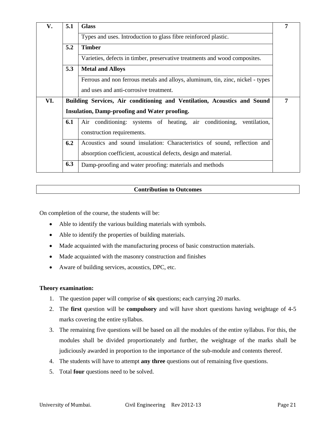| V.  | 5.1 | <b>Glass</b>                                                                   | 7 |  |  |  |  |  |  |
|-----|-----|--------------------------------------------------------------------------------|---|--|--|--|--|--|--|
|     |     | Types and uses. Introduction to glass fibre reinforced plastic.                |   |  |  |  |  |  |  |
|     | 5.2 | <b>Timber</b>                                                                  |   |  |  |  |  |  |  |
|     |     | Varieties, defects in timber, preservative treatments and wood composites.     |   |  |  |  |  |  |  |
|     | 5.3 | <b>Metal and Alloys</b>                                                        |   |  |  |  |  |  |  |
|     |     | Ferrous and non ferrous metals and alloys, aluminum, tin, zinc, nickel - types |   |  |  |  |  |  |  |
|     |     | and uses and anti-corrosive treatment.                                         |   |  |  |  |  |  |  |
| VI. |     | Building Services, Air conditioning and Ventilation, Acoustics and Sound       | 7 |  |  |  |  |  |  |
|     |     | <b>Insulation, Damp-proofing and Water proofing.</b>                           |   |  |  |  |  |  |  |
|     | 6.1 | Air conditioning: systems of heating, air conditioning,<br>ventilation,        |   |  |  |  |  |  |  |
|     |     | construction requirements.                                                     |   |  |  |  |  |  |  |
|     | 6.2 | Acoustics and sound insulation: Characteristics of sound, reflection and       |   |  |  |  |  |  |  |
|     |     | absorption coefficient, acoustical defects, design and material.               |   |  |  |  |  |  |  |
|     | 6.3 | Damp-proofing and water proofing: materials and methods                        |   |  |  |  |  |  |  |

On completion of the course, the students will be:

- Able to identify the various building materials with symbols.
- Able to identify the properties of building materials.
- Made acquainted with the manufacturing process of basic construction materials.
- Made acquainted with the masonry construction and finishes
- Aware of building services, acoustics, DPC, etc.

## **Theory examination:**

- 1. The question paper will comprise of **six** questions; each carrying 20 marks.
- 2. The **first** question will be **compulsory** and will have short questions having weightage of 4-5 marks covering the entire syllabus.
- 3. The remaining five questions will be based on all the modules of the entire syllabus. For this, the modules shall be divided proportionately and further, the weightage of the marks shall be judiciously awarded in proportion to the importance of the sub-module and contents thereof.
- 4. The students will have to attempt **any three** questions out of remaining five questions.
- 5. Total **four** questions need to be solved.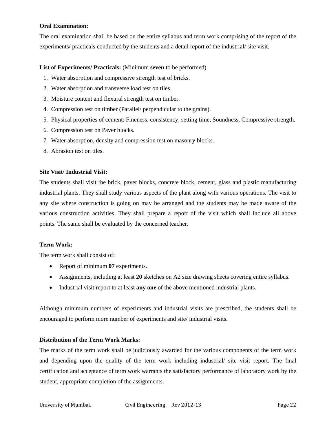## **Oral Examination:**

The oral examination shall be based on the entire syllabus and term work comprising of the report of the experiments/ practicals conducted by the students and a detail report of the industrial/ site visit.

## **List of Experiments/ Practicals:** (Minimum **seven** to be performed)

- 1. Water absorption and compressive strength test of bricks.
- 2. Water absorption and transverse load test on tiles.
- 3. Moisture content and flexural strength test on timber.
- 4. Compression test on timber (Parallel/ perpendicular to the grains).
- 5. Physical properties of cement: Fineness, consistency, setting time, Soundness, Compressive strength.
- 6. Compression test on Paver blocks.
- 7. Water absorption, density and compression test on masonry blocks.
- 8. Abrasion test on tiles.

## **Site Visit/ Industrial Visit:**

The students shall visit the brick, paver blocks, concrete block, cement, glass and plastic manufacturing industrial plants. They shall study various aspects of the plant along with various operations. The visit to any site where construction is going on may be arranged and the students may be made aware of the various construction activities. They shall prepare a report of the visit which shall include all above points. The same shall be evaluated by the concerned teacher.

#### **Term Work:**

The term work shall consist of:

- Report of minimum **07** experiments.
- Assignments, including at least **20** sketches on A2 size drawing sheets covering entire syllabus.
- Industrial visit report to at least **any one** of the above mentioned industrial plants.

Although minimum numbers of experiments and industrial visits are prescribed, the students shall be encouraged to perform more number of experiments and site/ industrial visits.

## **Distribution of the Term Work Marks:**

The marks of the term work shall be judiciously awarded for the various components of the term work and depending upon the quality of the term work including industrial/ site visit report. The final certification and acceptance of term work warrants the satisfactory performance of laboratory work by the student, appropriate completion of the assignments.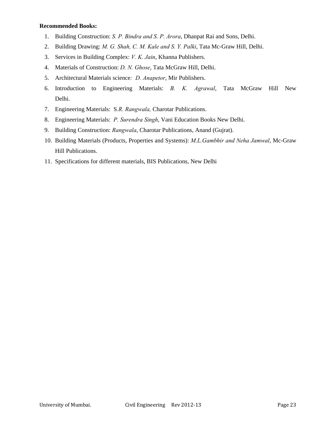## **Recommended Books:**

- 1. Building Construction: *S. P. Bindra and S. P. Arora*, Dhanpat Rai and Sons, Delhi.
- 2. Building Drawing: *M. G. Shah, C. M. Kale and S. Y. Palki*, Tata Mc-Graw Hill, Delhi.
- 3. Services in Building Complex: *V. K. Jain*, Khanna Publishers.
- 4. Materials of Construction: *D. N. Ghose*, Tata McGraw Hill, Delhi.
- 5. Architectural Materials science*: D. Anapetor*, Mir Publishers.
- 6. Introduction to Engineering Materials: *B. K. Agrawal*, Tata McGraw Hill New Delhi.
- 7. Engineering Materials: S*.R. Rangwala,* Charotar Publications.
- 8. Engineering Materials: *P. Surendra Singh*, Vani Education Books New Delhi.
- 9. Building Construction: *Rangwala*, Charotar Publications, Anand (Gujrat).
- 10. Building Materials (Products, Properties and Systems): *M.L.Gambhir and Neha Jamwal*, Mc-Graw Hill Publications.
- 11. Specifications for different materials, BIS Publications, New Delhi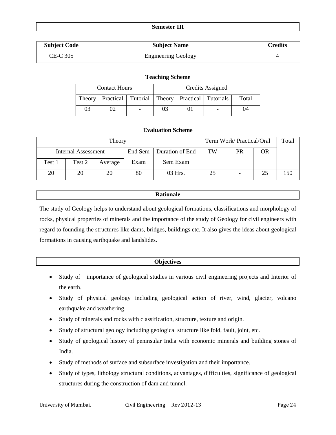| <b>Semester III</b> |  |
|---------------------|--|
|---------------------|--|

| <b>Subject Code</b> | <b>Subject Name</b>        | Credits |
|---------------------|----------------------------|---------|
| CE-C 305            | <b>Engineering Geology</b> |         |

#### **Teaching Scheme**

|        | <b>Contact Hours</b> |                                                       | Credits Assigned |  |  |       |
|--------|----------------------|-------------------------------------------------------|------------------|--|--|-------|
| Theory |                      | Practical   Tutorial   Theory   Practical   Tutorials |                  |  |  | Total |
| 03     |                      | $\overline{\phantom{a}}$                              | 03               |  |  | 04    |

## **Evaluation Scheme**

|                     |        | Term Work/ Practical/Oral |         | Total           |    |    |    |     |
|---------------------|--------|---------------------------|---------|-----------------|----|----|----|-----|
| Internal Assessment |        |                           | End Sem | Duration of End | TW | PR | OR |     |
| Test 1              | Test 2 | Average                   | Exam    | Sem Exam        |    |    |    |     |
| 20                  | 20     | 20                        | 80      | 03 Hrs.         | 25 |    | 25 | 150 |

## **Rationale**

The study of Geology helps to understand about geological formations, classifications and morphology of rocks, physical properties of minerals and the importance of the study of Geology for civil engineers with regard to founding the structures like dams, bridges, buildings etc. It also gives the ideas about geological formations in causing earthquake and landslides.

## **Objectives**

- Study of importance of geological studies in various civil engineering projects and Interior of the earth.
- Study of physical geology including geological action of river, wind, glacier, volcano earthquake and weathering.
- Study of minerals and rocks with classification, structure, texture and origin.
- Study of structural geology including geological structure like fold, fault, joint, etc.
- Study of geological history of peninsular India with economic minerals and building stones of India.
- Study of methods of surface and subsurface investigation and their importance.
- Study of types, lithology structural conditions, advantages, difficulties, significance of geological structures during the construction of dam and tunnel.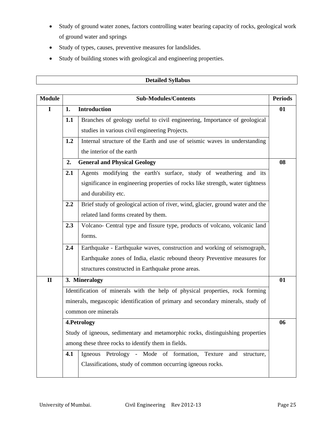- Study of ground water zones, factors controlling water bearing capacity of rocks, geological work of ground water and springs
- Study of types, causes, preventive measures for landslides.
- Study of building stones with geological and engineering properties.

| <b>Module</b> |                                                                                   | <b>Sub-Modules/Contents</b>                                                     | <b>Periods</b> |  |  |  |  |  |
|---------------|-----------------------------------------------------------------------------------|---------------------------------------------------------------------------------|----------------|--|--|--|--|--|
| $\mathbf I$   | 1.                                                                                | <b>Introduction</b>                                                             | 01             |  |  |  |  |  |
|               | 1.1                                                                               | Branches of geology useful to civil engineering, Importance of geological       |                |  |  |  |  |  |
|               |                                                                                   | studies in various civil engineering Projects.                                  |                |  |  |  |  |  |
|               | 1.2                                                                               | Internal structure of the Earth and use of seismic waves in understanding       |                |  |  |  |  |  |
|               |                                                                                   | the interior of the earth                                                       |                |  |  |  |  |  |
|               | <b>General and Physical Geology</b><br>2.                                         |                                                                                 |                |  |  |  |  |  |
|               | 2.1                                                                               | Agents modifying the earth's surface, study of weathering and its               |                |  |  |  |  |  |
|               |                                                                                   | significance in engineering properties of rocks like strength, water tightness  |                |  |  |  |  |  |
|               |                                                                                   | and durability etc.                                                             |                |  |  |  |  |  |
|               | 2.2                                                                               | Brief study of geological action of river, wind, glacier, ground water and the  |                |  |  |  |  |  |
|               | related land forms created by them.                                               |                                                                                 |                |  |  |  |  |  |
|               | Volcano- Central type and fissure type, products of volcano, volcanic land<br>2.3 |                                                                                 |                |  |  |  |  |  |
|               |                                                                                   | forms.                                                                          |                |  |  |  |  |  |
|               | 2.4                                                                               | Earthquake - Earthquake waves, construction and working of seismograph,         |                |  |  |  |  |  |
|               |                                                                                   | Earthquake zones of India, elastic rebound theory Preventive measures for       |                |  |  |  |  |  |
|               |                                                                                   | structures constructed in Earthquake prone areas.                               |                |  |  |  |  |  |
| $\mathbf{I}$  |                                                                                   | 3. Mineralogy                                                                   | 01             |  |  |  |  |  |
|               |                                                                                   | Identification of minerals with the help of physical properties, rock forming   |                |  |  |  |  |  |
|               |                                                                                   | minerals, megascopic identification of primary and secondary minerals, study of |                |  |  |  |  |  |
|               |                                                                                   | common ore minerals                                                             |                |  |  |  |  |  |
|               | 4.Petrology                                                                       |                                                                                 |                |  |  |  |  |  |
|               | Study of igneous, sedimentary and metamorphic rocks, distinguishing properties    |                                                                                 |                |  |  |  |  |  |
|               |                                                                                   | among these three rocks to identify them in fields.                             |                |  |  |  |  |  |
|               | 4.1                                                                               | Igneous Petrology - Mode of formation, Texture<br>and structure,                |                |  |  |  |  |  |
|               |                                                                                   | Classifications, study of common occurring igneous rocks.                       |                |  |  |  |  |  |
|               |                                                                                   |                                                                                 |                |  |  |  |  |  |

## **Detailed Syllabus**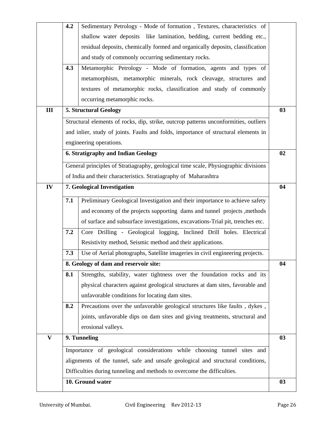|                           | 4.2 | Sedimentary Petrology - Mode of formation, Textures, characteristics of              |    |
|---------------------------|-----|--------------------------------------------------------------------------------------|----|
|                           |     | shallow water deposits like lamination, bedding, current bedding etc.,               |    |
|                           |     | residual deposits, chemically formed and organically deposits, classification        |    |
|                           |     | and study of commonly occurring sedimentary rocks.                                   |    |
|                           | 4.3 | Metamorphic Petrology - Mode of formation, agents and types of                       |    |
|                           |     | metamorphism, metamorphic minerals, rock cleavage, structures and                    |    |
|                           |     | textures of metamorphic rocks, classification and study of commonly                  |    |
|                           |     | occurring metamorphic rocks.                                                         |    |
| III                       |     | <b>5. Structural Geology</b>                                                         | 03 |
|                           |     | Structural elements of rocks, dip, strike, outcrop patterns unconformities, outliers |    |
|                           |     | and inlier, study of joints. Faults and folds, importance of structural elements in  |    |
|                           |     | engineering operations.                                                              |    |
|                           |     | <b>6. Stratigraphy and Indian Geology</b>                                            | 02 |
|                           |     |                                                                                      |    |
|                           |     | General principles of Stratiagraphy, geological time scale, Physiographic divisions  |    |
|                           |     | of India and their characteristics. Stratiagraphy of Maharashtra                     |    |
| IV                        |     | 7. Geological Investigation                                                          | 04 |
|                           | 7.1 | Preliminary Geological Investigation and their importance to achieve safety          |    |
|                           |     | and economy of the projects supporting dams and tunnel projects, methods             |    |
|                           |     | of surface and subsurface investigations, excavations-Trial pit, trenches etc.       |    |
|                           | 7.2 | Core Drilling - Geological logging, Inclined Drill holes. Electrical                 |    |
|                           |     | Resistivity method, Seismic method and their applications.                           |    |
|                           | 7.3 | Use of Aerial photographs, Satellite imageries in civil engineering projects.        |    |
|                           |     | 8. Geology of dam and reservoir site:                                                | 04 |
|                           | 8.1 | Strengths, stability, water tightness over the foundation rocks and its              |    |
|                           |     | physical characters against geological structures at dam sites, favorable and        |    |
|                           |     | unfavorable conditions for locating dam sites.                                       |    |
|                           | 8.2 | Precautions over the unfavorable geological structures like faults, dykes,           |    |
|                           |     | joints, unfavorable dips on dam sites and giving treatments, structural and          |    |
|                           |     | erosional valleys.                                                                   |    |
| $\boldsymbol{\mathrm{V}}$ |     | 9. Tunneling                                                                         | 03 |
|                           |     | Importance of geological considerations while choosing tunnel sites and              |    |
|                           |     | alignments of the tunnel, safe and unsafe geological and structural conditions,      |    |
|                           |     | Difficulties during tunneling and methods to overcome the difficulties.              |    |
|                           |     |                                                                                      |    |
|                           |     | 10. Ground water                                                                     | 03 |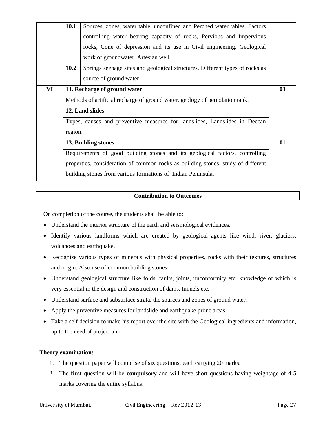|    | 10.1                                                                         | Sources, zones, water table, unconfined and Perched water tables. Factors        |    |  |  |  |  |  |  |
|----|------------------------------------------------------------------------------|----------------------------------------------------------------------------------|----|--|--|--|--|--|--|
|    |                                                                              | controlling water bearing capacity of rocks, Pervious and Impervious             |    |  |  |  |  |  |  |
|    |                                                                              | rocks, Cone of depression and its use in Civil engineering. Geological           |    |  |  |  |  |  |  |
|    |                                                                              | work of groundwater, Artesian well.                                              |    |  |  |  |  |  |  |
|    | 10.2                                                                         | Springs seepage sites and geological structures. Different types of rocks as     |    |  |  |  |  |  |  |
|    |                                                                              | source of ground water                                                           |    |  |  |  |  |  |  |
| VI | 11. Recharge of ground water                                                 |                                                                                  |    |  |  |  |  |  |  |
|    | Methods of artificial recharge of ground water, geology of percolation tank. |                                                                                  |    |  |  |  |  |  |  |
|    | 12. Land slides                                                              |                                                                                  |    |  |  |  |  |  |  |
|    | Types, causes and preventive measures for landslides, Landslides in Deccan   |                                                                                  |    |  |  |  |  |  |  |
|    | region.                                                                      |                                                                                  |    |  |  |  |  |  |  |
|    |                                                                              | 13. Building stones                                                              | 01 |  |  |  |  |  |  |
|    | Requirements of good building stones and its geological factors, controlling |                                                                                  |    |  |  |  |  |  |  |
|    |                                                                              | properties, consideration of common rocks as building stones, study of different |    |  |  |  |  |  |  |
|    |                                                                              | building stones from various formations of Indian Peninsula,                     |    |  |  |  |  |  |  |
|    |                                                                              |                                                                                  |    |  |  |  |  |  |  |

On completion of the course, the students shall be able to:

- Understand the interior structure of the earth and seismological evidences.
- Identify various landforms which are created by geological agents like wind, river, glaciers, volcanoes and earthquake.
- Recognize various types of minerals with physical properties, rocks with their textures, structures and origin. Also use of common building stones.
- Understand geological structure like folds, faults, joints, unconformity etc. knowledge of which is very essential in the design and construction of dams, tunnels etc.
- Understand surface and subsurface strata, the sources and zones of ground water.
- Apply the preventive measures for landslide and earthquake prone areas.
- Take a self decision to make his report over the site with the Geological ingredients and information, up to the need of project aim.

## **Theory examination:**

- 1. The question paper will comprise of **six** questions; each carrying 20 marks.
- 2. The **first** question will be **compulsory** and will have short questions having weightage of 4-5 marks covering the entire syllabus.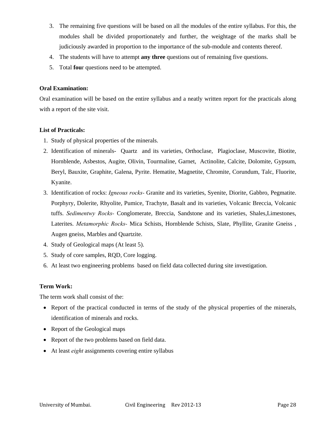- 3. The remaining five questions will be based on all the modules of the entire syllabus. For this, the modules shall be divided proportionately and further, the weightage of the marks shall be judiciously awarded in proportion to the importance of the sub-module and contents thereof.
- 4. The students will have to attempt **any three** questions out of remaining five questions.
- 5. Total **fou**r questions need to be attempted.

## **Oral Examination:**

Oral examination will be based on the entire syllabus and a neatly written report for the practicals along with a report of the site visit.

## **List of Practicals:**

- 1. Study of physical properties of the minerals.
- 2. Identification of minerals- Quartz and its varieties, Orthoclase, Plagioclase, Muscovite, Biotite, Hornblende, Asbestos, Augite, Olivin, Tourmaline, Garnet, Actinolite, Calcite, Dolomite, Gypsum, Beryl, Bauxite, Graphite, Galena, Pyrite. Hematite, Magnetite, Chromite, Corundum, Talc, Fluorite, Kyanite.
- 3. Identification of rocks: *Igneous rocks-* Granite and its varieties, Syenite, Diorite, Gabbro, Pegmatite. Porphyry, Dolerite, Rhyolite, Pumice, Trachyte, Basalt and its varieties, Volcanic Breccia, Volcanic tuffs. *Sedimentwy Rocks-* Conglomerate, Breccia, Sandstone and its varieties, Shales,Limestones, Laterites. *Metamorphic Rocks-* Mica Schists, Hornblende Schists, Slate, Phyllite, Granite Gneiss , Augen gneiss, Marbles and Quartzite.
- 4. Study of Geological maps (At least 5).
- 5. Study of core samples, RQD, Core logging.
- 6. At least two engineering problems based on field data collected during site investigation.

## **Term Work:**

The term work shall consist of the:

- Report of the practical conducted in terms of the study of the physical properties of the minerals, identification of minerals and rocks.
- Report of the Geological maps
- Report of the two problems based on field data.
- At least *eight* assignments covering entire syllabus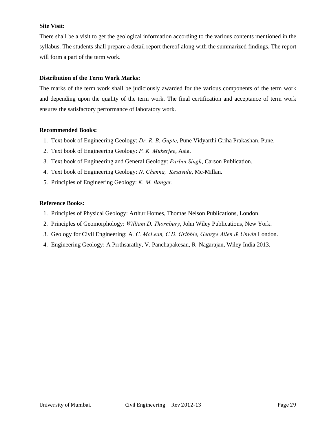## **Site Visit:**

There shall be a visit to get the geological information according to the various contents mentioned in the syllabus. The students shall prepare a detail report thereof along with the summarized findings. The report will form a part of the term work.

## **Distribution of the Term Work Marks:**

The marks of the term work shall be judiciously awarded for the various components of the term work and depending upon the quality of the term work. The final certification and acceptance of term work ensures the satisfactory performance of laboratory work.

## **Recommended Books:**

- 1. Text book of Engineering Geology: *Dr. R. B. Gupte*, Pune Vidyarthi Griha Prakashan, Pune.
- 2. Text book of Engineering Geology: *P. K. Mukerjee*, Asia.
- 3. Text book of Engineering and General Geology: *Parbin Singh*, Carson Publication.
- 4. Text book of Engineering Geology: *N. Chenna, Kesavulu*, Mc-Millan.
- 5. Principles of Engineering Geology: *K. M. Banger*.

## **Reference Books:**

- 1. Principles of Physical Geology: Arthur Homes, Thomas Nelson Publications, London.
- 2. Principles of Geomorphology: *William D. Thornbury*, John Wiley Publications, New York.
- 3. Geology for Civil Engineering: A*. C. McLean, C.D. Gribble, George Allen & Unwin* London.
- 4. Engineering Geology: A Prrthsarathy, V. Panchapakesan, R Nagarajan, Wiley India 2013.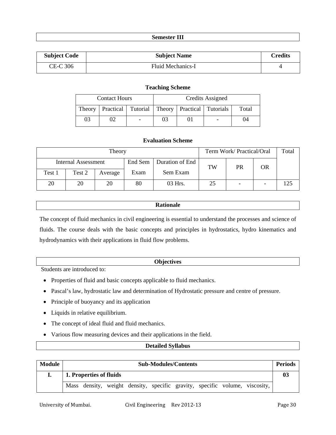## **Semester III**

| <b>Subject Code</b> | <b>Subject Name</b> | <b>Credits</b> |
|---------------------|---------------------|----------------|
| CE-C 306            | Fluid Mechanics-I   |                |

## **Teaching Scheme**

|        | <b>Contact Hours</b> |                          |    | Credits Assigned                                     |       |
|--------|----------------------|--------------------------|----|------------------------------------------------------|-------|
| Theory |                      |                          |    | <b>Practical</b> Tutorial Theory Practical Tutorials | Total |
| 03     |                      | $\overline{\phantom{0}}$ | 03 |                                                      | )4    |

## **Evaluation Scheme**

|                            | Term Work/Practical/Oral | Total   |         |                 |    |                          |    |     |
|----------------------------|--------------------------|---------|---------|-----------------|----|--------------------------|----|-----|
| <b>Internal Assessment</b> |                          |         | End Sem | Duration of End | TW | PR                       | OR |     |
| Test 1                     | Test 2                   | Average | Exam    | Sem Exam        |    |                          |    |     |
| 20                         | 20                       | 20      | 80      | 03 Hrs.         | 25 | $\overline{\phantom{0}}$ |    | 125 |

## **Rationale**

The concept of fluid mechanics in civil engineering is essential to understand the processes and science of fluids. The course deals with the basic concepts and principles in hydrostatics, hydro kinematics and hydrodynamics with their applications in fluid flow problems.

## **Objectives**

Students are introduced to:

- Properties of fluid and basic concepts applicable to fluid mechanics.
- Pascal's law, hydrostatic law and determination of Hydrostatic pressure and centre of pressure.
- Principle of buoyancy and its application
- Liquids in relative equilibrium.
- The concept of ideal fluid and fluid mechanics.
- Various flow measuring devices and their applications in the field.

## **Detailed Syllabus**

| <b>Module</b> | <b>Sub-Modules/Contents</b> |  |  |  |  |  |  |  | <b>Periods</b>                                                              |  |
|---------------|-----------------------------|--|--|--|--|--|--|--|-----------------------------------------------------------------------------|--|
|               | 1. Properties of fluids     |  |  |  |  |  |  |  |                                                                             |  |
|               |                             |  |  |  |  |  |  |  | Mass density, weight density, specific gravity, specific volume, viscosity, |  |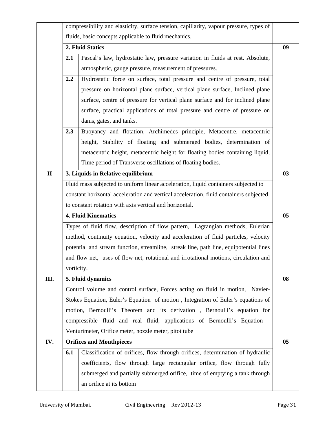|              |                                                                                        | compressibility and elasticity, surface tension, capillarity, vapour pressure, types of |    |  |  |  |  |  |
|--------------|----------------------------------------------------------------------------------------|-----------------------------------------------------------------------------------------|----|--|--|--|--|--|
|              |                                                                                        | fluids, basic concepts applicable to fluid mechanics.                                   |    |  |  |  |  |  |
|              |                                                                                        | 2. Fluid Statics                                                                        | 09 |  |  |  |  |  |
|              | 2.1                                                                                    | Pascal's law, hydrostatic law, pressure variation in fluids at rest. Absolute,          |    |  |  |  |  |  |
|              |                                                                                        | atmospheric, gauge pressure, measurement of pressures.                                  |    |  |  |  |  |  |
|              | 2.2                                                                                    | Hydrostatic force on surface, total pressure and centre of pressure, total              |    |  |  |  |  |  |
|              |                                                                                        | pressure on horizontal plane surface, vertical plane surface, Inclined plane            |    |  |  |  |  |  |
|              | surface, centre of pressure for vertical plane surface and for inclined plane          |                                                                                         |    |  |  |  |  |  |
|              |                                                                                        | surface, practical applications of total pressure and centre of pressure on             |    |  |  |  |  |  |
|              | dams, gates, and tanks.                                                                |                                                                                         |    |  |  |  |  |  |
|              | 2.3                                                                                    | Buoyancy and flotation, Archimedes principle, Metacentre, metacentric                   |    |  |  |  |  |  |
|              |                                                                                        | height, Stability of floating and submerged bodies, determination of                    |    |  |  |  |  |  |
|              |                                                                                        | metacentric height, metacentric height for floating bodies containing liquid,           |    |  |  |  |  |  |
|              |                                                                                        | Time period of Transverse oscillations of floating bodies.                              |    |  |  |  |  |  |
| $\mathbf{I}$ | 3. Liquids in Relative equilibrium                                                     |                                                                                         |    |  |  |  |  |  |
|              |                                                                                        | Fluid mass subjected to uniform linear acceleration, liquid containers subjected to     |    |  |  |  |  |  |
|              | constant horizontal acceleration and vertical acceleration, fluid containers subjected |                                                                                         |    |  |  |  |  |  |
|              | to constant rotation with axis vertical and horizontal.                                |                                                                                         |    |  |  |  |  |  |
|              | 4. Fluid Kinematics                                                                    |                                                                                         |    |  |  |  |  |  |
|              |                                                                                        | Types of fluid flow, description of flow pattern, Lagrangian methods, Eulerian          |    |  |  |  |  |  |
|              |                                                                                        | method, continuity equation, velocity and acceleration of fluid particles, velocity     |    |  |  |  |  |  |
|              |                                                                                        | potential and stream function, streamline, streak line, path line, equipotential lines  |    |  |  |  |  |  |
|              |                                                                                        | and flow net, uses of flow net, rotational and irrotational motions, circulation and    |    |  |  |  |  |  |
|              | vorticity.                                                                             |                                                                                         |    |  |  |  |  |  |
| III.         |                                                                                        | 5. Fluid dynamics                                                                       | 08 |  |  |  |  |  |
|              |                                                                                        | Control volume and control surface, Forces acting on fluid in motion, Navier-           |    |  |  |  |  |  |
|              |                                                                                        | Stokes Equation, Euler's Equation of motion, Integration of Euler's equations of        |    |  |  |  |  |  |
|              |                                                                                        | motion, Bernoulli's Theorem and its derivation, Bernoulli's equation for                |    |  |  |  |  |  |
|              | compressible fluid and real fluid, applications of Bernoulli's Equation -              |                                                                                         |    |  |  |  |  |  |
|              | Venturimeter, Orifice meter, nozzle meter, pitot tube                                  |                                                                                         |    |  |  |  |  |  |
| IV.          |                                                                                        | <b>Orifices and Mouthpieces</b>                                                         | 05 |  |  |  |  |  |
|              | 6.1                                                                                    | Classification of orifices, flow through orifices, determination of hydraulic           |    |  |  |  |  |  |
|              |                                                                                        | coefficients, flow through large rectangular orifice, flow through fully                |    |  |  |  |  |  |
|              |                                                                                        | submerged and partially submerged orifice, time of emptying a tank through              |    |  |  |  |  |  |
|              |                                                                                        | an orifice at its bottom                                                                |    |  |  |  |  |  |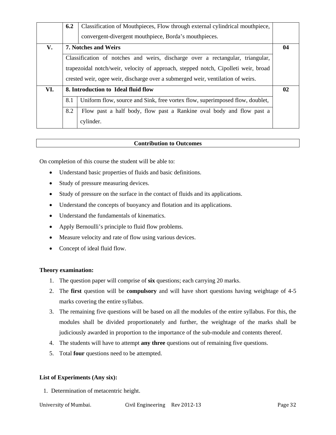|     | 6.2                                                                                | Classification of Mouthpieces, Flow through external cylindrical mouthpiece,    |    |  |  |  |  |
|-----|------------------------------------------------------------------------------------|---------------------------------------------------------------------------------|----|--|--|--|--|
|     |                                                                                    | convergent-divergent mouthpiece, Borda's mouthpieces.                           |    |  |  |  |  |
| V.  | 7. Notches and Weirs                                                               |                                                                                 |    |  |  |  |  |
|     | Classification of notches and weirs, discharge over a rectangular, triangular,     |                                                                                 |    |  |  |  |  |
|     | trapezoidal notch/weir, velocity of approach, stepped notch, Cipolleti weir, broad |                                                                                 |    |  |  |  |  |
|     |                                                                                    | crested weir, ogee weir, discharge over a submerged weir, ventilation of weirs. |    |  |  |  |  |
| VI. |                                                                                    | 8. Introduction to Ideal fluid flow                                             | 02 |  |  |  |  |
|     | 8.1                                                                                | Uniform flow, source and Sink, free vortex flow, superimposed flow, doublet,    |    |  |  |  |  |
|     | 8.2                                                                                | Flow past a half body, flow past a Rankine oval body and flow past a            |    |  |  |  |  |
|     |                                                                                    | cylinder.                                                                       |    |  |  |  |  |

On completion of this course the student will be able to:

- Understand basic properties of fluids and basic definitions.
- Study of pressure measuring devices.
- Study of pressure on the surface in the contact of fluids and its applications.
- Understand the concepts of buoyancy and flotation and its applications.
- Understand the fundamentals of kinematics.
- Apply Bernoulli's principle to fluid flow problems.
- Measure velocity and rate of flow using various devices.
- Concept of ideal fluid flow.

## **Theory examination:**

- 1. The question paper will comprise of **six** questions; each carrying 20 marks.
- 2. The **first** question will be **compulsory** and will have short questions having weightage of 4-5 marks covering the entire syllabus.
- 3. The remaining five questions will be based on all the modules of the entire syllabus. For this, the modules shall be divided proportionately and further, the weightage of the marks shall be judiciously awarded in proportion to the importance of the sub-module and contents thereof.
- 4. The students will have to attempt **any three** questions out of remaining five questions.
- 5. Total **four** questions need to be attempted.

## **List of Experiments (Any six):**

1. Determination of metacentric height.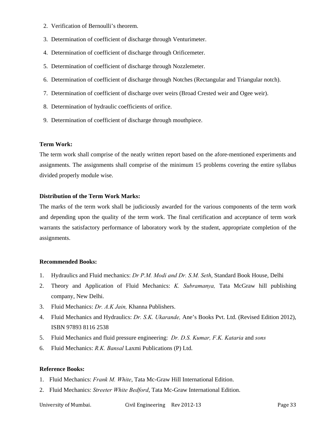- 2. Verification of Bernoulli's theorem.
- 3. Determination of coefficient of discharge through Venturimeter.
- 4. Determination of coefficient of discharge through Orificemeter.
- 5. Determination of coefficient of discharge through Nozzlemeter.
- 6. Determination of coefficient of discharge through Notches (Rectangular and Triangular notch).
- 7. Determination of coefficient of discharge over weirs (Broad Crested weir and Ogee weir).
- 8. Determination of hydraulic coefficients of orifice.
- 9. Determination of coefficient of discharge through mouthpiece.

## **Term Work:**

The term work shall comprise of the neatly written report based on the afore-mentioned experiments and assignments. The assignments shall comprise of the minimum 15 problems covering the entire syllabus divided properly module wise.

## **Distribution of the Term Work Marks:**

The marks of the term work shall be judiciously awarded for the various components of the term work and depending upon the quality of the term work. The final certification and acceptance of term work warrants the satisfactory performance of laboratory work by the student, appropriate completion of the assignments.

## **Recommended Books:**

- 1. Hydraulics and Fluid mechanics: *Dr P.M. Modi and Dr. S.M. Seth*, Standard Book House, Delhi
- 2. Theory and Application of Fluid Mechanics: *K. Subramanya,* Tata McGraw hill publishing company, New Delhi.
- 3. Fluid Mechanics: *Dr. A.K Jain,* Khanna Publishers.
- 4. Fluid Mechanics and Hydraulics: *Dr. S.K. Ukarande,* Ane's Books Pvt. Ltd. (Revised Edition 2012), ISBN 97893 8116 2538
- 5. Fluid Mechanics and fluid pressure engineering: *Dr. D.S. Kumar, F.K. Kataria* and *sons*
- 6. Fluid Mechanics: *R.K. Bansal* Laxmi Publications (P) Ltd.

## **Reference Books:**

- 1. Fluid Mechanics: *Frank M. White*, Tata Mc-Graw Hill International Edition.
- 2. Fluid Mechanics: *Streeter White Bedford*, Tata Mc-Graw International Edition.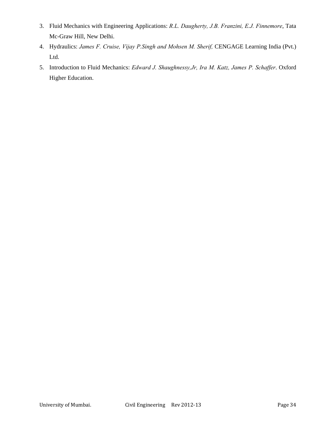- 3. Fluid Mechanics with Engineering Applications: *R.L. Daugherty, J.B. Franzini, E.J. Finnemore*, Tata Mc-Graw Hill, New Delhi.
- 4. Hydraulics: James F. Cruise, Vijay P. Singh and Mohsen M. Sherif, CENGAGE Learning India (Pvt.) Ltd.
- 5. Introduction to Fluid Mechanics: *Edward J. Shaughnessy,Jr, Ira M. Katz, James P. Schaffer*. Oxford Higher Education.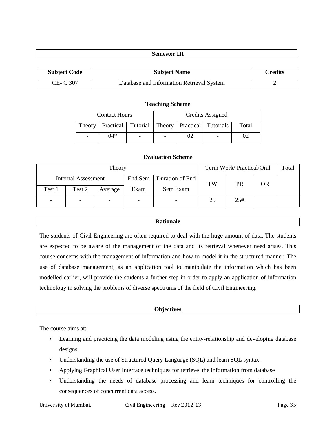## **Semester III**

| <b>Subject Code</b> | <b>Subject Name</b>                       | Credits |
|---------------------|-------------------------------------------|---------|
| CE- C 307           | Database and Information Retrieval System |         |

#### **Teaching Scheme**

|        | <b>Contact Hours</b> |                          |                          | Credits Assigned                                     |       |
|--------|----------------------|--------------------------|--------------------------|------------------------------------------------------|-------|
| Theory |                      |                          |                          | <b>Practical</b> Tutorial Theory Practical Tutorials | Total |
|        | $04*$                | $\overline{\phantom{a}}$ | $\overline{\phantom{0}}$ |                                                      |       |

## **Evaluation Scheme**

|        | Term Work/ Practical/Oral | Total                    |         |                 |    |     |           |  |
|--------|---------------------------|--------------------------|---------|-----------------|----|-----|-----------|--|
|        | Internal Assessment       |                          | End Sem | Duration of End | TW | PR  | <b>OR</b> |  |
| Test 1 | Test 2                    | Average                  | Exam    | Sem Exam        |    |     |           |  |
|        | $\qquad \qquad -$         | $\overline{\phantom{0}}$ |         |                 | 25 | 25# |           |  |

## **Rationale**

The students of Civil Engineering are often required to deal with the huge amount of data. The students are expected to be aware of the management of the data and its retrieval whenever need arises. This course concerns with the management of information and how to model it in the structured manner. The use of database management, as an application tool to manipulate the information which has been modelled earlier, will provide the students a further step in order to apply an application of information technology in solving the problems of diverse spectrums of the field of Civil Engineering.

#### **Objectives**

The course aims at:

- Learning and practicing the data modeling using the entity-relationship and developing database designs.
- Understanding the use of Structured Query Language (SQL) and learn SQL syntax.
- Applying Graphical User Interface techniques for retrieve the information from database
- Understanding the needs of database processing and learn techniques for controlling the consequences of concurrent data access.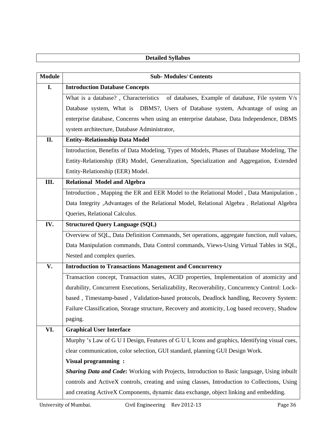|               | <b>Detailed Syllabus</b>                                                                           |
|---------------|----------------------------------------------------------------------------------------------------|
|               |                                                                                                    |
| <b>Module</b> | <b>Sub-Modules/Contents</b>                                                                        |
| I.            | <b>Introduction Database Concepts</b>                                                              |
|               | of databases, Example of database, File system V/s<br>What is a database?, Characteristics         |
|               | Database system, What is DBMS?, Users of Database system, Advantage of using an                    |
|               | enterprise database, Concerns when using an enterprise database, Data Independence, DBMS           |
|               | system architecture, Database Administrator,                                                       |
| II.           | <b>Entity-Relationship Data Model</b>                                                              |
|               | Introduction, Benefits of Data Modeling, Types of Models, Phases of Database Modeling, The         |
|               | Entity-Relationship (ER) Model, Generalization, Specialization and Aggregation, Extended           |
|               | Entity-Relationship (EER) Model.                                                                   |
| III.          | <b>Relational Model and Algebra</b>                                                                |
|               | Introduction, Mapping the ER and EER Model to the Relational Model, Data Manipulation,             |
|               | Data Integrity , Advantages of the Relational Model, Relational Algebra , Relational Algebra       |
|               | Queries, Relational Calculus.                                                                      |
| IV.           | <b>Structured Query Language (SQL)</b>                                                             |
|               | Overview of SQL, Data Definition Commands, Set operations, aggregate function, null values,        |
|               | Data Manipulation commands, Data Control commands, Views-Using Virtual Tables in SQL,              |
|               | Nested and complex queries.                                                                        |
| V.            | <b>Introduction to Transactions Management and Concurrency</b>                                     |
|               | Transaction concept, Transaction states, ACID properties, Implementation of atomicity and          |
|               | durability, Concurrent Executions, Serializability, Recoverability, Concurrency Control: Lock-     |
|               | based, Timestamp-based, Validation-based protocols, Deadlock handling, Recovery System:            |
|               | Failure Classification, Storage structure, Recovery and atomicity, Log based recovery, Shadow      |
|               | paging.                                                                                            |
| VI.           | <b>Graphical User Interface</b>                                                                    |
|               | Murphy 's Law of G U I Design, Features of G U I, Icons and graphics, Identifying visual cues,     |
|               | clear communication, color selection, GUI standard, planning GUI Design Work.                      |
|               | Visual programming:                                                                                |
|               | <b>Sharing Data and Code:</b> Working with Projects, Introduction to Basic language, Using inbuilt |
|               | controls and ActiveX controls, creating and using classes, Introduction to Collections, Using      |
|               | and creating ActiveX Components, dynamic data exchange, object linking and embedding.              |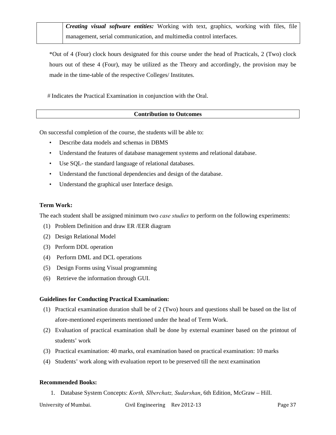*Creating visual software entities:* Working with text, graphics, working with files, file management, serial communication, and multimedia control interfaces.

\*Out of 4 (Four) clock hours designated for this course under the head of Practicals, 2 (Two) clock hours out of these 4 (Four), may be utilized as the Theory and accordingly, the provision may be made in the time-table of the respective Colleges/ Institutes.

 *#* Indicates the Practical Examination in conjunction with the Oral.

## **Contribution to Outcomes**

On successful completion of the course, the students will be able to:

- Describe data models and schemas in DBMS
- Understand the features of database management systems and relational database.
- Use SQL- the standard language of relational databases.
- Understand the functional dependencies and design of the database.
- Understand the graphical user Interface design.

## **Term Work:**

The each student shall be assigned minimum two *case studies* to perform on the following experiments:

- (1) Problem Definition and draw ER /EER diagram
- (2) Design Relational Model
- (3) Perform DDL operation
- (4) Perform DML and DCL operations
- (5) Design Forms using Visual programming
- (6) Retrieve the information through GUI.

#### **Guidelines for Conducting Practical Examination:**

- (1) Practical examination duration shall be of 2 (Two) hours and questions shall be based on the list of afore-mentioned experiments mentioned under the head of Term Work.
- (2) Evaluation of practical examination shall be done by external examiner based on the printout of students' work
- (3) Practical examination: 40 marks, oral examination based on practical examination: 10 marks
- (4) Students' work along with evaluation report to be preserved till the next examination

#### **Recommended Books:**

1. Database System Concepts: *Korth, Slberchatz, Sudarshan*, 6th Edition, McGraw – Hill.

University of Mumbai. Civil Engineering Rev 2012-13 Page 37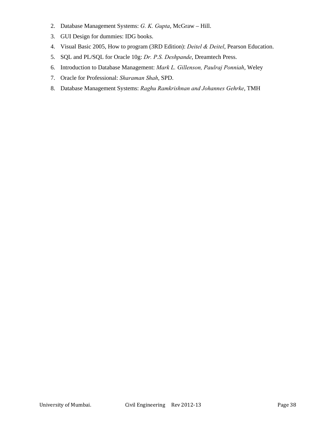- 2. Database Management Systems: *G. K. Gupta*, McGraw Hill.
- 3. GUI Design for dummies: IDG books.
- 4. Visual Basic 2005, How to program (3RD Edition): *Deitel & Deitel*, Pearson Education.
- 5. SQL and PL/SQL for Oracle 10g: *Dr. P.S. Deshpande*, Dreamtech Press.
- 6. Introduction to Database Management: *Mark L. Gillenson, Paulraj Ponniah*, Weley
- 7. Oracle for Professional: *Sharaman Shah*, SPD.
- 8. Database Management Systems: *Raghu Ramkrishnan and Johannes Gehrke*, TMH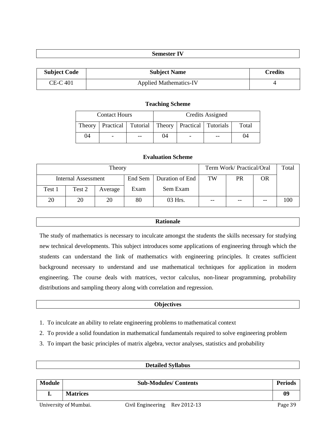## **Semester IV**

| <b>Subject Code</b> | <b>Subject Name</b>           | Credits |
|---------------------|-------------------------------|---------|
| CE-C 401            | <b>Applied Mathematics-IV</b> |         |

## **Teaching Scheme**

|    | <b>Contact Hours</b>     |    |    | Credits Assigned                                               |       |
|----|--------------------------|----|----|----------------------------------------------------------------|-------|
|    |                          |    |    | Theory   Practical   Tutorial   Theory   Practical   Tutorials | Total |
| 04 | $\overline{\phantom{0}}$ | -- | 04 |                                                                | 1)4   |

## **Evaluation Scheme**

|        | Term Work/ Practical/Oral  | Total   |         |                 |       |       |       |     |
|--------|----------------------------|---------|---------|-----------------|-------|-------|-------|-----|
|        | <b>Internal Assessment</b> |         | End Sem | Duration of End | TW    | PR    | OR    |     |
| Test 1 | Test 2                     | Average | Exam    | Sem Exam        |       |       |       |     |
| 20     | 20                         | 20      | 80      | 03 Hrs.         | $- -$ | $- -$ | $- -$ | 100 |

## **Rationale**

The study of mathematics is necessary to inculcate amongst the students the skills necessary for studying new technical developments. This subject introduces some applications of engineering through which the students can understand the link of mathematics with engineering principles. It creates sufficient background necessary to understand and use mathematical techniques for application in modern engineering. The course deals with matrices, vector calculus, non-linear programming, probability distributions and sampling theory along with correlation and regression.

#### **Objectives**

- 1. To inculcate an ability to relate engineering problems to mathematical context
- 2. To provide a solid foundation in mathematical fundamentals required to solve engineering problem
- 3. To impart the basic principles of matrix algebra, vector analyses, statistics and probability

# University of Mumbai. Civil Engineering Rev 2012-13 Page 39 **Detailed Syllabus**  Module **Sub-Modules/ Contents Sub-Modules/ Contents Periods I. Matrices 09**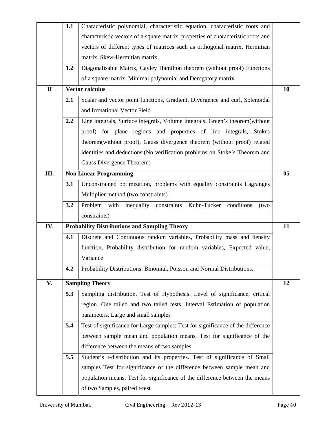|              | 1.1 | Characteristic polynomial, characteristic equation, characteristic roots and                                 |    |
|--------------|-----|--------------------------------------------------------------------------------------------------------------|----|
|              |     | characteristic vectors of a square matrix, properties of characteristic roots and                            |    |
|              |     | vectors of different types of matrices such as orthogonal matrix, Hermitian                                  |    |
|              |     | matrix, Skew-Hermitian matrix.                                                                               |    |
|              | 1.2 | Diagonalisable Matrix, Cayley Hamilton theorem (without proof) Functions                                     |    |
|              |     | of a square matrix, Minimal polynomial and Derogatory matrix.                                                |    |
| $\mathbf{I}$ |     | <b>Vector calculus</b>                                                                                       | 10 |
|              | 2.1 | Scalar and vector point functions, Gradient, Divergence and curl, Solenoidal                                 |    |
|              |     | and Irrotational Vector Field                                                                                |    |
|              | 2.2 | Line integrals, Surface integrals, Volume integrals. Green's theorem(without                                 |    |
|              |     | proof) for plane regions and properties of line integrals, Stokes                                            |    |
|              |     | theorem(without proof), Gauss divergence theorem (without proof) related                                     |    |
|              |     | identities and deductions. (No verification problems on Stoke's Theorem and                                  |    |
|              |     | <b>Gauss Divergence Theorem)</b>                                                                             |    |
| Ш.           |     | <b>Non Linear Programming</b>                                                                                | 05 |
|              | 3.1 | Unconstrained optimization, problems with equality constraints Lagranges                                     |    |
|              |     | Multiplier method (two constraints)                                                                          |    |
|              | 3.2 | Problem with inequality constraints Kuhn-Tucker conditions<br>(two                                           |    |
|              |     | constraints)                                                                                                 |    |
| IV.          |     | <b>Probability Distributions and Sampling Theory</b>                                                         | 11 |
|              | 4.1 | Discrete and Continuous random variables, Probability mass and density                                       |    |
|              |     | function, Probability distribution for random variables, Expected value,                                     |    |
|              |     | Variance                                                                                                     |    |
|              | 4.2 | Probability Distributions: Binomial, Poisson and Normal Distributions.                                       |    |
| V.           |     | <b>Sampling Theory</b>                                                                                       | 12 |
|              | 5.3 | Sampling distribution. Test of Hypothesis. Level of significance, critical                                   |    |
|              |     |                                                                                                              |    |
|              |     |                                                                                                              |    |
|              |     | region. One tailed and two tailed tests. Interval Estimation of population                                   |    |
|              |     | parameters. Large and small samples                                                                          |    |
|              | 5.4 | Test of significance for Large samples: Test for significance of the difference                              |    |
|              |     | between sample mean and population means, Test for significance of the                                       |    |
|              |     | difference between the means of two samples                                                                  |    |
|              | 5.5 | Student's t-distribution and its properties. Test of significance of Small                                   |    |
|              |     | samples Test for significance of the difference between sample mean and                                      |    |
|              |     | population means, Test for significance of the difference between the means<br>of two Samples, paired t-test |    |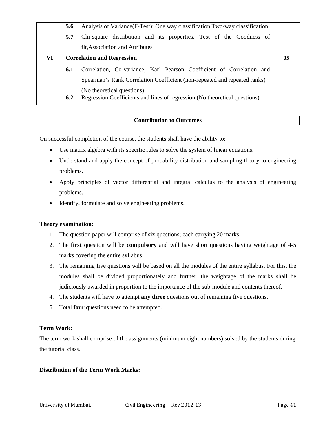|    | 5.6                                                                          | Analysis of Variance (F-Test): One way classification, Two-way classification |  |  |  |  |  |  |
|----|------------------------------------------------------------------------------|-------------------------------------------------------------------------------|--|--|--|--|--|--|
|    | 5.7                                                                          | Chi-square distribution and its properties, Test of the Goodness of           |  |  |  |  |  |  |
|    |                                                                              | fit, Association and Attributes                                               |  |  |  |  |  |  |
| VI | <b>Correlation and Regression</b>                                            |                                                                               |  |  |  |  |  |  |
|    | 6.1<br>Correlation, Co-variance, Karl Pearson Coefficient of Correlation and |                                                                               |  |  |  |  |  |  |
|    |                                                                              | Spearman's Rank Correlation Coefficient (non-repeated and repeated ranks)     |  |  |  |  |  |  |
|    |                                                                              | (No theoretical questions)                                                    |  |  |  |  |  |  |
|    |                                                                              |                                                                               |  |  |  |  |  |  |

On successful completion of the course, the students shall have the ability to:

- Use matrix algebra with its specific rules to solve the system of linear equations.
- Understand and apply the concept of probability distribution and sampling theory to engineering problems.
- Apply principles of vector differential and integral calculus to the analysis of engineering problems.
- Identify, formulate and solve engineering problems.

## **Theory examination:**

- 1. The question paper will comprise of **six** questions; each carrying 20 marks.
- 2. The **first** question will be **compulsory** and will have short questions having weightage of 4-5 marks covering the entire syllabus.
- 3. The remaining five questions will be based on all the modules of the entire syllabus. For this, the modules shall be divided proportionately and further, the weightage of the marks shall be judiciously awarded in proportion to the importance of the sub-module and contents thereof.
- 4. The students will have to attempt **any three** questions out of remaining five questions.
- 5. Total **four** questions need to be attempted.

## **Term Work:**

The term work shall comprise of the assignments (minimum eight numbers) solved by the students during the tutorial class.

## **Distribution of the Term Work Marks:**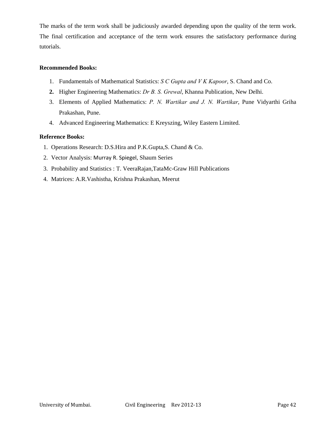The marks of the term work shall be judiciously awarded depending upon the quality of the term work. The final certification and acceptance of the term work ensures the satisfactory performance during tutorials.

## **Recommended Books:**

- 1. Fundamentals of Mathematical Statistics: *S C Gupta and V K Kapoor*, S. Chand and Co.
- **2.** Higher Engineering Mathematics: *Dr B. S. Grewal*, Khanna Publication, New Delhi.
- 3. Elements of Applied Mathematics: *P. N. Wartikar and J. N. Wartikar*, Pune Vidyarthi Griha Prakashan, Pune.
- 4. Advanced Engineering Mathematics: E Kreyszing, Wiley Eastern Limited.

#### **Reference Books:**

- 1. Operations Research: D.S.Hira and P.K.Gupta,S. Chand & Co.
- 2. Vector Analysis: Murray R. Spiegel, Shaum Series
- 3. Probability and Statistics : T. VeeraRajan,TataMc-Graw Hill Publications
- 4. Matrices: A.R.Vashistha, Krishna Prakashan, Meerut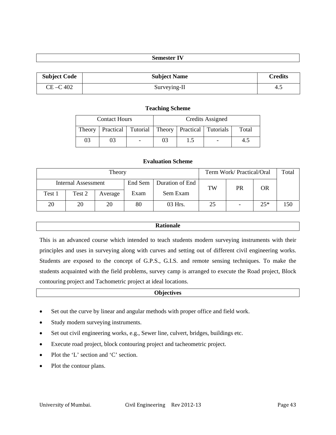## **Semester IV**

| <b>Subject Code</b> | <b>Subject Name</b> | <b>Credits</b> |
|---------------------|---------------------|----------------|
| CE-C 402            | Surveying-II        | 4.5            |

#### **Teaching Scheme**

|    | <b>Contact Hours</b>                                           |  | Credits Assigned |       |
|----|----------------------------------------------------------------|--|------------------|-------|
|    | Theory   Practical   Tutorial   Theory   Practical   Tutorials |  |                  | Total |
| 03 | 03                                                             |  |                  |       |

## **Evaluation Scheme**

| Theory              |        |         |         |                 | Term Work/ Practical/Oral |    |       | Total |
|---------------------|--------|---------|---------|-----------------|---------------------------|----|-------|-------|
| Internal Assessment |        |         | End Sem | Duration of End | TW                        | PR | OR    |       |
| Test 1              | Test 2 | Average | Exam    | Sem Exam        |                           |    |       |       |
| 20                  | 20     | 20      | 80      | 03 Hrs.         | 25                        |    | $25*$ | 150   |

#### **Rationale**

This is an advanced course which intended to teach students modern surveying instruments with their principles and uses in surveying along with curves and setting out of different civil engineering works. Students are exposed to the concept of G.P.S., G.I.S. and remote sensing techniques. To make the students acquainted with the field problems, survey camp is arranged to execute the Road project, Block contouring project and Tachometric project at ideal locations.

## **Objectives**

- Set out the curve by linear and angular methods with proper office and field work.
- Study modern surveying instruments.
- Set out civil engineering works, e.g., Sewer line, culvert, bridges, buildings etc.
- Execute road project, block contouring project and tacheometric project.
- Plot the 'L' section and 'C' section.
- Plot the contour plans.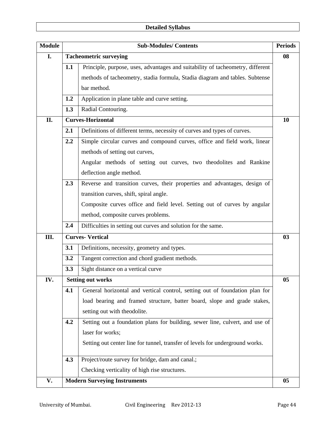# **Detailed Syllabus**

| <b>Module</b> | <b>Sub-Modules/Contents</b> |                                                                                |    |  |
|---------------|-----------------------------|--------------------------------------------------------------------------------|----|--|
| I.            |                             | <b>Tacheometric surveying</b>                                                  | 08 |  |
|               | 1.1                         | Principle, purpose, uses, advantages and suitability of tacheometry, different |    |  |
|               |                             | methods of tacheometry, stadia formula, Stadia diagram and tables. Subtense    |    |  |
|               |                             | bar method.                                                                    |    |  |
|               | 1.2                         | Application in plane table and curve setting.                                  |    |  |
|               | 1.3                         | Radial Contouring.                                                             |    |  |
| II.           |                             | <b>Curves-Horizontal</b>                                                       | 10 |  |
|               | 2.1                         | Definitions of different terms, necessity of curves and types of curves.       |    |  |
|               | 2.2                         | Simple circular curves and compound curves, office and field work, linear      |    |  |
|               |                             | methods of setting out curves,                                                 |    |  |
|               |                             | Angular methods of setting out curves, two theodolites and Rankine             |    |  |
|               |                             | deflection angle method.                                                       |    |  |
|               | 2.3                         | Reverse and transition curves, their properties and advantages, design of      |    |  |
|               |                             | transition curves, shift, spiral angle.                                        |    |  |
|               |                             | Composite curves office and field level. Setting out of curves by angular      |    |  |
|               |                             | method, composite curves problems.                                             |    |  |
|               | 2.4                         | Difficulties in setting out curves and solution for the same.                  |    |  |
| Ш.            |                             | <b>Curves-Vertical</b>                                                         | 03 |  |
|               | 3.1                         | Definitions, necessity, geometry and types.                                    |    |  |
|               | 3.2                         | Tangent correction and chord gradient methods.                                 |    |  |
|               | 3.3                         | Sight distance on a vertical curve                                             |    |  |
| IV.           |                             | <b>Setting out works</b>                                                       | 05 |  |
|               | 4.1                         | General horizontal and vertical control, setting out of foundation plan for    |    |  |
|               |                             | load bearing and framed structure, batter board, slope and grade stakes,       |    |  |
|               |                             | setting out with theodolite.                                                   |    |  |
|               | 4.2                         | Setting out a foundation plans for building, sewer line, culvert, and use of   |    |  |
|               |                             | laser for works;                                                               |    |  |
|               |                             | Setting out center line for tunnel, transfer of levels for underground works.  |    |  |
|               | 4.3                         | Project/route survey for bridge, dam and canal.;                               |    |  |
|               |                             | Checking verticality of high rise structures.                                  |    |  |
| V.            |                             | <b>Modern Surveying Instruments</b>                                            | 05 |  |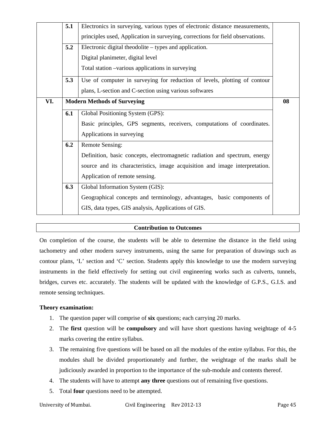|     | 5.1 | Electronics in surveying, various types of electronic distance measurements,   |  |  |  |  |  |  |  |  |
|-----|-----|--------------------------------------------------------------------------------|--|--|--|--|--|--|--|--|
|     |     | principles used, Application in surveying, corrections for field observations. |  |  |  |  |  |  |  |  |
|     | 5.2 | Electronic digital theodolite – types and application.                         |  |  |  |  |  |  |  |  |
|     |     | Digital planimeter, digital level                                              |  |  |  |  |  |  |  |  |
|     |     | Total station -various applications in surveying                               |  |  |  |  |  |  |  |  |
|     | 5.3 | Use of computer in surveying for reduction of levels, plotting of contour      |  |  |  |  |  |  |  |  |
|     |     | plans, L-section and C-section using various softwares                         |  |  |  |  |  |  |  |  |
| VI. |     | <b>Modern Methods of Surveying</b>                                             |  |  |  |  |  |  |  |  |
|     | 6.1 | Global Positioning System (GPS):                                               |  |  |  |  |  |  |  |  |
|     |     | Basic principles, GPS segments, receivers, computations of coordinates.        |  |  |  |  |  |  |  |  |
|     |     | Applications in surveying                                                      |  |  |  |  |  |  |  |  |
|     | 6.2 | <b>Remote Sensing:</b>                                                         |  |  |  |  |  |  |  |  |
|     |     | Definition, basic concepts, electromagnetic radiation and spectrum, energy     |  |  |  |  |  |  |  |  |
|     |     | source and its characteristics, image acquisition and image interpretation.    |  |  |  |  |  |  |  |  |
|     |     | Application of remote sensing.                                                 |  |  |  |  |  |  |  |  |
|     | 6.3 | Global Information System (GIS):                                               |  |  |  |  |  |  |  |  |
|     |     | Geographical concepts and terminology, advantages, basic components of         |  |  |  |  |  |  |  |  |
|     |     | GIS, data types, GIS analysis, Applications of GIS.                            |  |  |  |  |  |  |  |  |

On completion of the course, the students will be able to determine the distance in the field using tachometry and other modern survey instruments, using the same for preparation of drawings such as contour plans, 'L' section and 'C' section. Students apply this knowledge to use the modern surveying instruments in the field effectively for setting out civil engineering works such as culverts, tunnels, bridges, curves etc. accurately. The students will be updated with the knowledge of G.P.S., G.I.S. and remote sensing techniques.

## **Theory examination:**

- 1. The question paper will comprise of **six** questions; each carrying 20 marks.
- 2. The **first** question will be **compulsory** and will have short questions having weightage of 4-5 marks covering the entire syllabus.
- 3. The remaining five questions will be based on all the modules of the entire syllabus. For this, the modules shall be divided proportionately and further, the weightage of the marks shall be judiciously awarded in proportion to the importance of the sub-module and contents thereof.
- 4. The students will have to attempt **any three** questions out of remaining five questions.
- 5. Total **four** questions need to be attempted.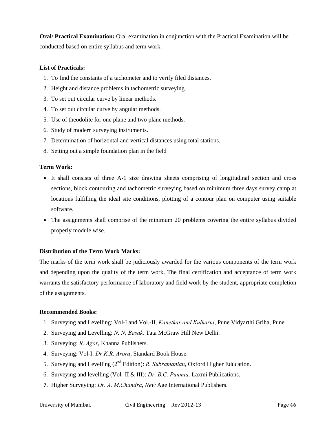**Oral/ Practical Examination:** Oral examination in conjunction with the Practical Examination will be conducted based on entire syllabus and term work.

#### **List of Practicals:**

- 1. To find the constants of a tachometer and to verify filed distances.
- 2. Height and distance problems in tachometric surveying.
- 3. To set out circular curve by linear methods.
- 4. To set out circular curve by angular methods.
- 5. Use of theodolite for one plane and two plane methods.
- 6. Study of modern surveying instruments.
- 7. Determination of horizontal and vertical distances using total stations.
- 8. Setting out a simple foundation plan in the field

## **Term Work:**

- It shall consists of three A-1 size drawing sheets comprising of longitudinal section and cross sections, block contouring and tachometric surveying based on minimum three days survey camp at locations fulfilling the ideal site conditions, plotting of a contour plan on computer using suitable software.
- The assignments shall comprise of the minimum 20 problems covering the entire syllabus divided properly module wise.

#### **Distribution of the Term Work Marks:**

The marks of the term work shall be judiciously awarded for the various components of the term work and depending upon the quality of the term work. The final certification and acceptance of term work warrants the satisfactory performance of laboratory and field work by the student, appropriate completion of the assignments.

#### **Recommended Books:**

- 1. Surveying and Levelling: Vol-I and Vol.-II, *Kanetkar and Kulkarni*, Pune Vidyarthi Griha, Pune.
- 2. Surveying and Levelling: *N. N. Basak,* Tata McGraw Hill New Delhi.
- 3. Surveying: *R. Agor*, Khanna Publishers.
- 4. Surveying: Vol-I: *Dr K.R. Arora*, Standard Book House.
- 5. Surveying and Levelling (2nd Edition): *R. Subramanian*, Oxford Higher Education.
- 6. Surveying and levelling (Vol.-II & III): *Dr. B.C. Punmia,* Laxmi Publications.
- 7. Higher Surveying: *Dr. A. M.Chandra*, *New* Age International Publishers.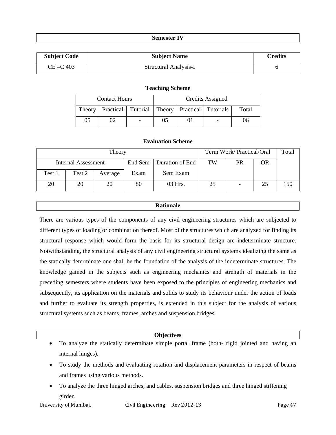## **Semester IV**

| <b>Subject Code</b> | <b>Subject Name</b>   | <b>Credits</b> |
|---------------------|-----------------------|----------------|
| $CE - C$ 403        | Structural Analysis-I |                |

#### **Teaching Scheme**

|        | <b>Contact Hours</b>                                  |                          | Credits Assigned |  |  |       |
|--------|-------------------------------------------------------|--------------------------|------------------|--|--|-------|
| Theory | Practical   Tutorial   Theory   Practical   Tutorials |                          |                  |  |  | Total |
| 05     |                                                       | $\overline{\phantom{a}}$ | 0 <sub>5</sub>   |  |  | U6    |

#### **Evaluation Scheme**

| Theory              |        |         |         |                 | Term Work/Practical/Oral | Total |    |     |
|---------------------|--------|---------|---------|-----------------|--------------------------|-------|----|-----|
| Internal Assessment |        |         | End Sem | Duration of End | TW                       | PR    | OR |     |
| Test 1              | Test 2 | Average | Exam    | Sem Exam        |                          |       |    |     |
| 20                  | 20     | 20      | 80      | 03 Hrs.         | 25                       |       | 25 | 50ء |

#### **Rationale**

There are various types of the components of any civil engineering structures which are subjected to different types of loading or combination thereof. Most of the structures which are analyzed for finding its structural response which would form the basis for its structural design are indeterminate structure. Notwithstanding, the structural analysis of any civil engineering structural systems idealizing the same as the statically determinate one shall be the foundation of the analysis of the indeterminate structures. The knowledge gained in the subjects such as engineering mechanics and strength of materials in the preceding semesters where students have been exposed to the principles of engineering mechanics and subsequently, its application on the materials and solids to study its behaviour under the action of loads and further to evaluate its strength properties, is extended in this subject for the analysis of various structural systems such as beams, frames, arches and suspension bridges.

#### **Objectives**

- To analyze the statically determinate simple portal frame (both- rigid jointed and having an internal hinges).
- To study the methods and evaluating rotation and displacement parameters in respect of beams and frames using various methods.
- To analyze the three hinged arches; and cables, suspension bridges and three hinged stiffening girder.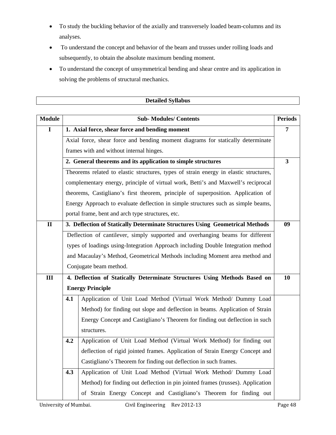- To study the buckling behavior of the axially and transversely loaded beam-columns and its analyses.
- To understand the concept and behavior of the beam and trusses under rolling loads and subsequently, to obtain the absolute maximum bending moment.
- To understand the concept of unsymmetrical bending and shear centre and its application in solving the problems of structural mechanics.

|                |                                                                                       | <b>Detailed Syllabus</b>                                                          |                |  |  |  |  |  |  |
|----------------|---------------------------------------------------------------------------------------|-----------------------------------------------------------------------------------|----------------|--|--|--|--|--|--|
|                |                                                                                       |                                                                                   |                |  |  |  |  |  |  |
| <b>Module</b>  |                                                                                       | <b>Sub-Modules/Contents</b>                                                       | <b>Periods</b> |  |  |  |  |  |  |
| $\mathbf I$    |                                                                                       | 1. Axial force, shear force and bending moment                                    | $\overline{7}$ |  |  |  |  |  |  |
|                |                                                                                       | Axial force, shear force and bending moment diagrams for statically determinate   |                |  |  |  |  |  |  |
|                | frames with and without internal hinges.                                              |                                                                                   |                |  |  |  |  |  |  |
|                | 2. General theorems and its application to simple structures                          |                                                                                   |                |  |  |  |  |  |  |
|                | Theorems related to elastic structures, types of strain energy in elastic structures, |                                                                                   |                |  |  |  |  |  |  |
|                | complementary energy, principle of virtual work, Betti's and Maxwell's reciprocal     |                                                                                   |                |  |  |  |  |  |  |
|                |                                                                                       | theorems, Castigliano's first theorem, principle of superposition. Application of |                |  |  |  |  |  |  |
|                |                                                                                       | Energy Approach to evaluate deflection in simple structures such as simple beams, |                |  |  |  |  |  |  |
|                |                                                                                       | portal frame, bent and arch type structures, etc.                                 |                |  |  |  |  |  |  |
| $\mathbf{I}$   |                                                                                       | 3. Deflection of Statically Determinate Structures Using Geometrical Methods      | 09             |  |  |  |  |  |  |
|                | Deflection of cantilever, simply supported and overhanging beams for different        |                                                                                   |                |  |  |  |  |  |  |
|                |                                                                                       | types of loadings using-Integration Approach including Double Integration method  |                |  |  |  |  |  |  |
|                |                                                                                       | and Macaulay's Method, Geometrical Methods including Moment area method and       |                |  |  |  |  |  |  |
|                |                                                                                       | Conjugate beam method.                                                            |                |  |  |  |  |  |  |
| $\mathbf{III}$ |                                                                                       | 4. Deflection of Statically Determinate Structures Using Methods Based on         | 10             |  |  |  |  |  |  |
|                |                                                                                       | <b>Energy Principle</b>                                                           |                |  |  |  |  |  |  |
|                | 4.1                                                                                   | Application of Unit Load Method (Virtual Work Method/ Dummy Load                  |                |  |  |  |  |  |  |
|                |                                                                                       | Method) for finding out slope and deflection in beams. Application of Strain      |                |  |  |  |  |  |  |
|                |                                                                                       | Energy Concept and Castigliano's Theorem for finding out deflection in such       |                |  |  |  |  |  |  |
|                |                                                                                       | structures.                                                                       |                |  |  |  |  |  |  |
|                | 4.2                                                                                   | Application of Unit Load Method (Virtual Work Method) for finding out             |                |  |  |  |  |  |  |
|                |                                                                                       | deflection of rigid jointed frames. Application of Strain Energy Concept and      |                |  |  |  |  |  |  |
|                |                                                                                       | Castigliano's Theorem for finding out deflection in such frames.                  |                |  |  |  |  |  |  |
|                | 4.3                                                                                   | Application of Unit Load Method (Virtual Work Method/ Dummy Load                  |                |  |  |  |  |  |  |
|                |                                                                                       | Method) for finding out deflection in pin jointed frames (trusses). Application   |                |  |  |  |  |  |  |
|                |                                                                                       | of Strain Energy Concept and Castigliano's Theorem for finding out                |                |  |  |  |  |  |  |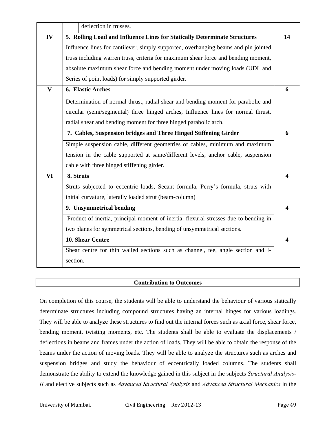|              | deflection in trusses.                                                               |                         |
|--------------|--------------------------------------------------------------------------------------|-------------------------|
| IV           | 5. Rolling Load and Influence Lines for Statically Determinate Structures            | 14                      |
|              | Influence lines for cantilever, simply supported, overhanging beams and pin jointed  |                         |
|              | truss including warren truss, criteria for maximum shear force and bending moment,   |                         |
|              | absolute maximum shear force and bending moment under moving loads (UDL and          |                         |
|              | Series of point loads) for simply supported girder.                                  |                         |
| $\mathbf{V}$ | 6. Elastic Arches                                                                    | 6                       |
|              | Determination of normal thrust, radial shear and bending moment for parabolic and    |                         |
|              | circular (semi/segmental) three hinged arches, Influence lines for normal thrust,    |                         |
|              | radial shear and bending moment for three hinged parabolic arch.                     |                         |
|              | 7. Cables, Suspension bridges and Three Hinged Stiffening Girder                     | 6                       |
|              | Simple suspension cable, different geometries of cables, minimum and maximum         |                         |
|              | tension in the cable supported at same/different levels, anchor cable, suspension    |                         |
|              | cable with three hinged stiffening girder.                                           |                         |
| VI           | 8. Struts                                                                            | 4                       |
|              | Struts subjected to eccentric loads, Secant formula, Perry's formula, struts with    |                         |
|              | initial curvature, laterally loaded strut (beam-column)                              |                         |
|              | 9. Unsymmetrical bending                                                             | 4                       |
|              | Product of inertia, principal moment of inertia, flexural stresses due to bending in |                         |
|              | two planes for symmetrical sections, bending of unsymmetrical sections.              |                         |
|              | 10. Shear Centre                                                                     | $\overline{\mathbf{4}}$ |
|              | Shear centre for thin walled sections such as channel, tee, angle section and I-     |                         |
|              | section.                                                                             |                         |

On completion of this course, the students will be able to understand the behaviour of various statically determinate structures including compound structures having an internal hinges for various loadings. They will be able to analyze these structures to find out the internal forces such as axial force, shear force, bending moment, twisting moments, etc. The students shall be able to evaluate the displacements / deflections in beams and frames under the action of loads. They will be able to obtain the response of the beams under the action of moving loads. They will be able to analyze the structures such as arches and suspension bridges and study the behaviour of eccentrically loaded columns. The students shall demonstrate the ability to extend the knowledge gained in this subject in the subjects *Structural Analysis-II* and elective subjects such as *Advanced Structural Analysis* and *Advanced Structural Mechanics* in the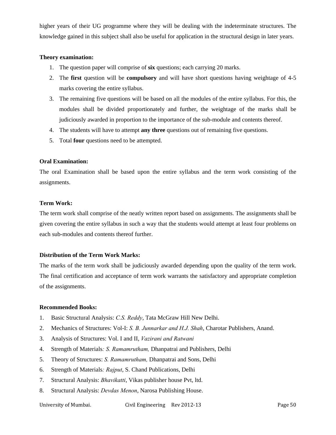higher years of their UG programme where they will be dealing with the indeterminate structures. The knowledge gained in this subject shall also be useful for application in the structural design in later years.

## **Theory examination:**

- 1. The question paper will comprise of **six** questions; each carrying 20 marks.
- 2. The **first** question will be **compulsory** and will have short questions having weightage of 4-5 marks covering the entire syllabus.
- 3. The remaining five questions will be based on all the modules of the entire syllabus. For this, the modules shall be divided proportionately and further, the weightage of the marks shall be judiciously awarded in proportion to the importance of the sub-module and contents thereof.
- 4. The students will have to attempt **any three** questions out of remaining five questions.
- 5. Total **four** questions need to be attempted.

## **Oral Examination:**

The oral Examination shall be based upon the entire syllabus and the term work consisting of the assignments.

## **Term Work:**

The term work shall comprise of the neatly written report based on assignments. The assignments shall be given covering the entire syllabus in such a way that the students would attempt at least four problems on each sub-modules and contents thereof further.

## **Distribution of the Term Work Marks:**

The marks of the term work shall be judiciously awarded depending upon the quality of the term work. The final certification and acceptance of term work warrants the satisfactory and appropriate completion of the assignments.

#### **Recommended Books:**

- 1. Basic Structural Analysis: *C.S. Reddy*, Tata McGraw Hill New Delhi.
- 2. Mechanics of Structures: Vol-I: *S. B. Junnarkar and H.J. Shah*, Charotar Publishers, Anand.
- 3. Analysis of Structures: Vol. I and II, *Vazirani and Ratwani*
- 4. Strength of Materials*: S. Ramamrutham,* Dhanpatrai and Publishers, Delhi
- 5. Theory of Structures: *S. Ramamrutham,* Dhanpatrai and Sons, Delhi
- 6. Strength of Materials*: Rajput*, S. Chand Publications, Delhi
- 7. Structural Analysis: *Bhavikatti*, Vikas publisher house Pvt, ltd.
- 8. Structural Analysis: *Devdas Menon*, Narosa Publishing House.

University of Mumbai. Civil Engineering Rev 2012-13 Page 50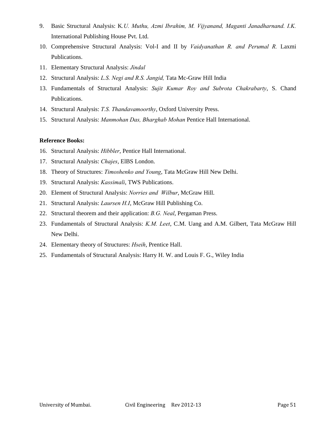- 9. Basic Structural Analysis: K*.U. Muthu, Azmi Ibrahim, M. Vijyanand, Maganti Janadharnand. I.K.* International Publishing House Pvt. Ltd.
- 10. Comprehensive Structural Analysis: Vol-I and II by *Vaidyanathan R. and Perumal R.* Laxmi Publications.
- 11. Elementary Structural Analysis: *Jindal*
- 12. Structural Analysis: *L.S. Negi and R.S. Jangid,* Tata Mc-Graw Hill India
- 13. Fundamentals of Structural Analysis: *Sujit Kumar Roy and Subrota Chakrabarty*, S. Chand Publications.
- 14. Structural Analysis: *T.S. Thandavamoorthy*, Oxford University Press.
- 15. Structural Analysis: *Manmohan Das, Bharghab Mohan* Pentice Hall International.

## **Reference Books:**

- 16. Structural Analysis: *Hibbler*, Pentice Hall International.
- 17. Structural Analysis: *Chajes*, ElBS London.
- 18. Theory of Structures: *Timoshenko and Young*, Tata McGraw Hill New Delhi.
- 19. Structural Analysis: *Kassimali*, TWS Publications.
- 20. Element of Structural Analysis: *Norries and Wilbur*, McGraw Hill.
- 21. Structural Analysis: *Laursen H.I*, McGraw Hill Publishing Co.
- 22. Structural theorem and their application: *B.G. Neal*, Pergaman Press.
- 23. Fundamentals of Structural Analysis: *K.M. Leet*, C.M. Uang and A.M. Gilbert, Tata McGraw Hill New Delhi.
- 24. Elementary theory of Structures: *Hseih*, Prentice Hall.
- 25. Fundamentals of Structural Analysis: Harry H. W. and Louis F. G., Wiley India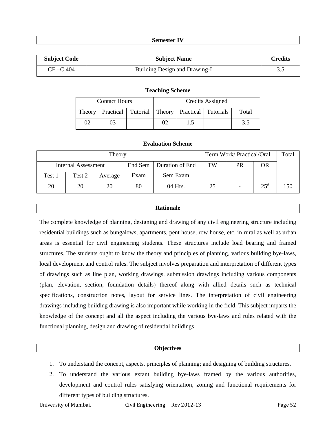#### **Semester IV**

| <b>Subject Code</b> | <b>Subject Name</b>           | Credits |
|---------------------|-------------------------------|---------|
| $CE - C$ 404        | Building Design and Drawing-I | 3.5     |

#### **Teaching Scheme**

|        | <b>Contact Hours</b>                                  | Credits Assigned |     |  |       |
|--------|-------------------------------------------------------|------------------|-----|--|-------|
| Theory | Practical   Tutorial   Theory   Practical   Tutorials |                  |     |  | Total |
| 02     | 03                                                    | 02               | 1.5 |  |       |

#### **Evaluation Scheme**

| Theory                     |        |         |      |                           | Term Work/ Practical/Oral | Total |          |     |
|----------------------------|--------|---------|------|---------------------------|---------------------------|-------|----------|-----|
| <b>Internal Assessment</b> |        |         |      | End Sem   Duration of End | TW                        | PR    | OR       |     |
| Test 1                     | Test 2 | Average | Exam | Sem Exam                  |                           |       |          |     |
| 20                         | 20     | 20      | 80   | 04 Hrs.                   | 25                        |       | $25^{*}$ | 150 |

#### **Rationale**

The complete knowledge of planning, designing and drawing of any civil engineering structure including residential buildings such as bungalows, apartments, pent house, row house, etc. in rural as well as urban areas is essential for civil engineering students. These structures include load bearing and framed structures. The students ought to know the theory and principles of planning, various building bye-laws, local development and control rules. The subject involves preparation and interpretation of different types of drawings such as line plan, working drawings, submission drawings including various components (plan, elevation, section, foundation details) thereof along with allied details such as technical specifications, construction notes, layout for service lines. The interpretation of civil engineering drawings including building drawing is also important while working in the field. This subject imparts the knowledge of the concept and all the aspect including the various bye-laws and rules related with the functional planning, design and drawing of residential buildings.

#### **Objectives**

- 1. To understand the concept, aspects, principles of planning; and designing of building structures.
- 2. To understand the various extant building bye-laws framed by the various authorities, development and control rules satisfying orientation, zoning and functional requirements for different types of building structures.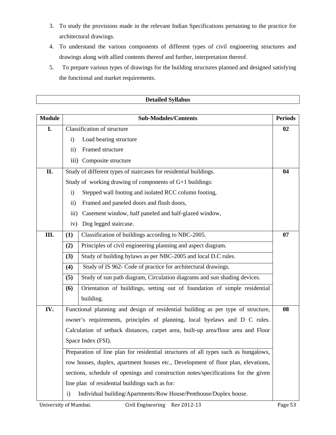- 3. To study the provisions made in the relevant Indian Specifications pertaining to the practice for architectural drawings.
- 4. To understand the various components of different types of civil engineering structures and drawings along with allied contents thereof and further, interpretation thereof.
- 5. To prepare various types of drawings for the building structures planned and designed satisfying the functional and market requirements.

|               |                                                                                     | <b>Detailed Syllabus</b>                                                           |                |  |  |  |  |
|---------------|-------------------------------------------------------------------------------------|------------------------------------------------------------------------------------|----------------|--|--|--|--|
|               |                                                                                     |                                                                                    |                |  |  |  |  |
| <b>Module</b> |                                                                                     | <b>Sub-Modules/Contents</b>                                                        | <b>Periods</b> |  |  |  |  |
| I.            |                                                                                     | Classification of structure                                                        | 02             |  |  |  |  |
|               | $\mathbf{i}$                                                                        | Load bearing structure                                                             |                |  |  |  |  |
|               | $\rm ii)$                                                                           | Framed structure                                                                   |                |  |  |  |  |
|               | $\overline{111}$ )                                                                  | Composite structure                                                                |                |  |  |  |  |
| II.           |                                                                                     | Study of different types of staircases for residential buildings.                  | 04             |  |  |  |  |
|               |                                                                                     | Study of working drawing of components of G+1 buildings:                           |                |  |  |  |  |
|               | $\mathbf{i}$                                                                        | Stepped wall footing and isolated RCC column footing,                              |                |  |  |  |  |
|               | $\rm ii)$                                                                           | Framed and paneled doors and flush doors,                                          |                |  |  |  |  |
|               | iii)                                                                                | Casement window, half paneled and half-glazed window,                              |                |  |  |  |  |
|               | iv)                                                                                 | Dog legged staircase.                                                              |                |  |  |  |  |
| Ш.            | (1)                                                                                 | Classification of buildings according to NBC-2005.                                 | 07             |  |  |  |  |
|               | (2)                                                                                 | Principles of civil engineering planning and aspect diagram.                       |                |  |  |  |  |
|               | (3)                                                                                 | Study of building bylaws as per NBC-2005 and local D.C rules.                      |                |  |  |  |  |
|               | (4)                                                                                 | Study of IS 962- Code of practice for architectural drawings.                      |                |  |  |  |  |
|               | (5)                                                                                 | Study of sun path diagram, Circulation diagrams and sun shading devices.           |                |  |  |  |  |
|               | (6)                                                                                 | Orientation of buildings, setting out of foundation of simple residential          |                |  |  |  |  |
|               |                                                                                     | building.                                                                          |                |  |  |  |  |
| IV.           |                                                                                     | Functional planning and design of residential building as per type of structure,   | 08             |  |  |  |  |
|               |                                                                                     | owner's requirements, principles of planning, local byelaws and D C rules.         |                |  |  |  |  |
|               |                                                                                     | Calculation of setback distances, carpet area, built-up area/floor area and Floor  |                |  |  |  |  |
|               | Space Index (FSI).                                                                  |                                                                                    |                |  |  |  |  |
|               | Preparation of line plan for residential structures of all types such as bungalows, |                                                                                    |                |  |  |  |  |
|               |                                                                                     | row houses, duplex, apartment houses etc., Development of floor plan, elevations,  |                |  |  |  |  |
|               |                                                                                     | sections, schedule of openings and construction notes/specifications for the given |                |  |  |  |  |
|               |                                                                                     | line plan of residential buildings such as for:                                    |                |  |  |  |  |
|               | $\mathbf{i}$                                                                        | Individual building/Apartments/Row House/Penthouse/Duplex house.                   |                |  |  |  |  |

 $\mathsf{I}$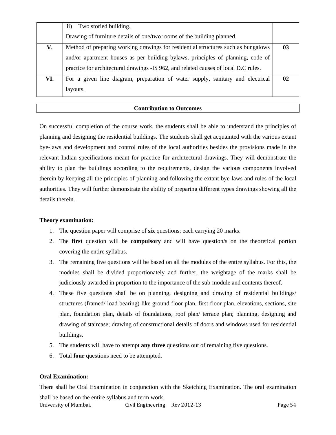|     | Two storied building.<br>11)                                                        |    |
|-----|-------------------------------------------------------------------------------------|----|
|     | Drawing of furniture details of one/two rooms of the building planned.              |    |
| V.  | Method of preparing working drawings for residential structures such as bungalows   | 03 |
|     | and/or apartment houses as per building bylaws, principles of planning, code of     |    |
|     | practice for architectural drawings -IS 962, and related causes of local D.C rules. |    |
| VI. | For a given line diagram, preparation of water supply, sanitary and electrical      | 02 |
|     | layouts.                                                                            |    |

On successful completion of the course work, the students shall be able to understand the principles of planning and designing the residential buildings. The students shall get acquainted with the various extant bye-laws and development and control rules of the local authorities besides the provisions made in the relevant Indian specifications meant for practice for architectural drawings. They will demonstrate the ability to plan the buildings according to the requirements, design the various components involved therein by keeping all the principles of planning and following the extant bye-laws and rules of the local authorities. They will further demonstrate the ability of preparing different types drawings showing all the details therein.

## **Theory examination:**

- 1. The question paper will comprise of **six** questions; each carrying 20 marks.
- 2. The **first** question will be **compulsory** and will have question/s on the theoretical portion covering the entire syllabus.
- 3. The remaining five questions will be based on all the modules of the entire syllabus. For this, the modules shall be divided proportionately and further, the weightage of the marks shall be judiciously awarded in proportion to the importance of the sub-module and contents thereof.
- 4. These five questions shall be on planning, designing and drawing of residential buildings/ structures (framed/ load bearing) like ground floor plan, first floor plan, elevations, sections, site plan, foundation plan, details of foundations, roof plan/ terrace plan; planning, designing and drawing of staircase; drawing of constructional details of doors and windows used for residential buildings.
- 5. The students will have to attempt **any three** questions out of remaining five questions.
- 6. Total **four** questions need to be attempted.

## **Oral Examination:**

University of Mumbai. Civil Engineering Rev 2012-13 Page 54 There shall be Oral Examination in conjunction with the Sketching Examination. The oral examination shall be based on the entire syllabus and term work.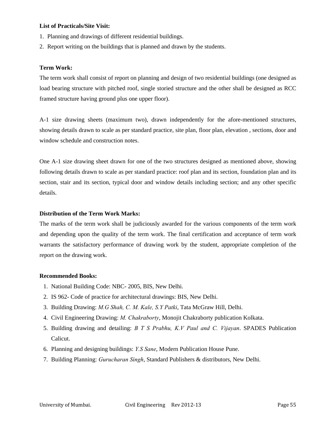#### **List of Practicals/Site Visit:**

- 1. Planning and drawings of different residential buildings.
- 2. Report writing on the buildings that is planned and drawn by the students.

## **Term Work:**

The term work shall consist of report on planning and design of two residential buildings (one designed as load bearing structure with pitched roof, single storied structure and the other shall be designed as RCC framed structure having ground plus one upper floor).

A-1 size drawing sheets (maximum two), drawn independently for the afore-mentioned structures, showing details drawn to scale as per standard practice, site plan, floor plan, elevation , sections, door and window schedule and construction notes.

One A-1 size drawing sheet drawn for one of the two structures designed as mentioned above, showing following details drawn to scale as per standard practice: roof plan and its section, foundation plan and its section, stair and its section, typical door and window details including section; and any other specific details.

## **Distribution of the Term Work Marks:**

The marks of the term work shall be judiciously awarded for the various components of the term work and depending upon the quality of the term work. The final certification and acceptance of term work warrants the satisfactory performance of drawing work by the student, appropriate completion of the report on the drawing work.

#### **Recommended Books:**

- 1. National Building Code: NBC- 2005, BIS, New Delhi.
- 2. IS 962- Code of practice for architectural drawings: BIS, New Delhi.
- 3. Building Drawing: *M.G Shah, C. M. Kale, S.Y Patki*, Tata McGraw Hill, Delhi.
- 4. Civil Engineering Drawing: *M. Chakraborty*, Monojit Chakraborty publication Kolkata.
- 5. Building drawing and detailing: *B T S Prabhu, K.V Paul and C. Vijayan*. SPADES Publication Calicut.
- 6. Planning and designing buildings: *Y.S Sane*, Modern Publication House Pune.
- 7. Building Planning: *Gurucharan Singh*, Standard Publishers & distributors, New Delhi.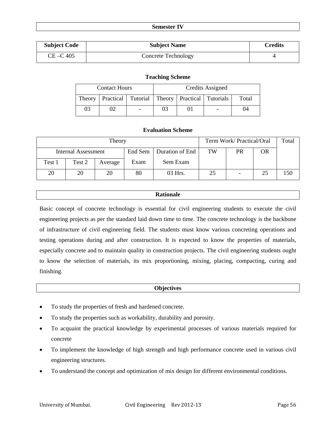#### **Semester IV**

| <b>Subject Code</b> | <b>Subject Name</b> | <b>Credits</b> |
|---------------------|---------------------|----------------|
| $CE - C 405$        | Concrete Technology |                |

#### **Teaching Scheme**

|        | <b>Contact Hours</b> |                          |                                                                |  | Credits Assigned |    |
|--------|----------------------|--------------------------|----------------------------------------------------------------|--|------------------|----|
| Theory |                      |                          | Practical   Tutorial   Theory   Practical   Tutorials<br>Total |  |                  |    |
| 03     |                      | $\overline{\phantom{0}}$ | 03                                                             |  |                  | 04 |

## **Evaluation Scheme**

|        |                     | Term Work/ Practical/Oral |         | Total           |    |    |    |     |
|--------|---------------------|---------------------------|---------|-----------------|----|----|----|-----|
|        | Internal Assessment |                           | End Sem | Duration of End | TW | PR | OR |     |
| Test 1 | Test 2              | Average                   | Exam    | Sem Exam        |    |    |    |     |
| 20     | 20                  | 20                        | 80      | 03 Hrs.         | 25 |    | 25 | 150 |

#### **Rationale**

Basic concept of concrete technology is essential for civil engineering students to execute the civil engineering projects as per the standard laid down time to time. The concrete technology is the backbone of infrastructure of civil engineering field. The students must know various concreting operations and testing operations during and after construction. It is expected to know the properties of materials, especially concrete and to maintain quality in construction projects. The civil engineering students ought to know the selection of materials, its mix proportioning, mixing, placing, compacting, curing and finishing.

#### **Objectives**

- To study the properties of fresh and hardened concrete.
- To study the properties such as workability, durability and porosity.
- To acquaint the practical knowledge by experimental processes of various materials required for concrete
- To implement the knowledge of high strength and high performance concrete used in various civil engineering structures.
- To understand the concept and optimization of mix design for different environmental conditions.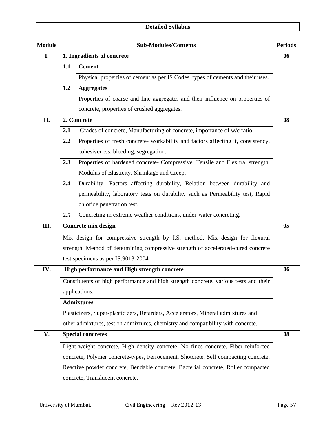| <b>Module</b> |     | <b>Sub-Modules/Contents</b>                                                          | <b>Periods</b> |
|---------------|-----|--------------------------------------------------------------------------------------|----------------|
| I.            |     | 1. Ingradients of concrete                                                           | 06             |
|               | 1.1 | <b>Cement</b>                                                                        |                |
|               |     | Physical properties of cement as per IS Codes, types of cements and their uses.      |                |
|               | 1.2 | <b>Aggregates</b>                                                                    |                |
|               |     | Properties of coarse and fine aggregates and their influence on properties of        |                |
|               |     | concrete, properties of crushed aggregates.                                          |                |
| II.           |     | 2. Concrete                                                                          | 08             |
|               | 2.1 | Grades of concrete, Manufacturing of concrete, importance of w/c ratio.              |                |
|               | 2.2 | Properties of fresh concrete- workability and factors affecting it, consistency,     |                |
|               |     | cohesiveness, bleeding, segregation.                                                 |                |
|               | 2.3 | Properties of hardened concrete- Compressive, Tensile and Flexural strength,         |                |
|               |     | Modulus of Elasticity, Shrinkage and Creep.                                          |                |
|               | 2.4 | Durability- Factors affecting durability, Relation between durability and            |                |
|               |     | permeability, laboratory tests on durability such as Permeability test, Rapid        |                |
|               |     | chloride penetration test.                                                           |                |
|               | 2.5 | Concreting in extreme weather conditions, under-water concreting.                    |                |
| Ш.            |     | Concrete mix design                                                                  | 05             |
|               |     | Mix design for compressive strength by I.S. method, Mix design for flexural          |                |
|               |     | strength, Method of determining compressive strength of accelerated-cured concrete   |                |
|               |     | test specimens as per IS:9013-2004                                                   |                |
| IV.           |     | High performance and High strength concrete                                          | 06             |
|               |     | Constituents of high performance and high strength concrete, various tests and their |                |
|               |     | applications.                                                                        |                |
|               |     | <b>Admixtures</b>                                                                    |                |
|               |     | Plasticizers, Super-plasticizers, Retarders, Accelerators, Mineral admixtures and    |                |
|               |     | other admixtures, test on admixtures, chemistry and compatibility with concrete.     |                |
| V.            |     | <b>Special concretes</b>                                                             | 08             |
|               |     | Light weight concrete, High density concrete, No fines concrete, Fiber reinforced    |                |
|               |     | concrete, Polymer concrete-types, Ferrocement, Shotcrete, Self compacting concrete,  |                |
|               |     | Reactive powder concrete, Bendable concrete, Bacterial concrete, Roller compacted    |                |
|               |     | concrete, Translucent concrete.                                                      |                |
|               |     |                                                                                      |                |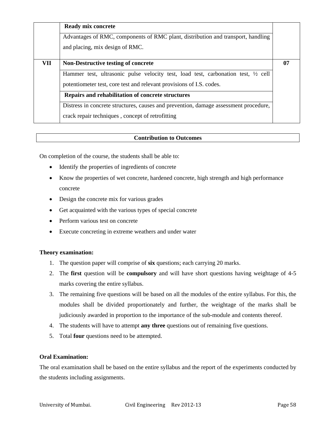|     | Ready mix concrete<br>Advantages of RMC, components of RMC plant, distribution and transport, handling<br>and placing, mix design of RMC.                                                                                                                               |    |
|-----|-------------------------------------------------------------------------------------------------------------------------------------------------------------------------------------------------------------------------------------------------------------------------|----|
| VII | <b>Non-Destructive testing of concrete</b><br>Hammer test, ultrasonic pulse velocity test, load test, carbonation test, $\frac{1}{2}$ cell<br>potentiometer test, core test and relevant provisions of I.S. codes.<br>Repairs and rehabilitation of concrete structures | 07 |
|     | Distress in concrete structures, causes and prevention, damage assessment procedure,<br>crack repair techniques, concept of retrofitting                                                                                                                                |    |

On completion of the course, the students shall be able to:

- Identify the properties of ingredients of concrete
- Know the properties of wet concrete, hardened concrete, high strength and high performance concrete
- Design the concrete mix for various grades
- Get acquainted with the various types of special concrete
- Perform various test on concrete
- Execute concreting in extreme weathers and under water

## **Theory examination:**

- 1. The question paper will comprise of **six** questions; each carrying 20 marks.
- 2. The **first** question will be **compulsory** and will have short questions having weightage of 4-5 marks covering the entire syllabus.
- 3. The remaining five questions will be based on all the modules of the entire syllabus. For this, the modules shall be divided proportionately and further, the weightage of the marks shall be judiciously awarded in proportion to the importance of the sub-module and contents thereof.
- 4. The students will have to attempt **any three** questions out of remaining five questions.
- 5. Total **four** questions need to be attempted.

## **Oral Examination:**

The oral examination shall be based on the entire syllabus and the report of the experiments conducted by the students including assignments.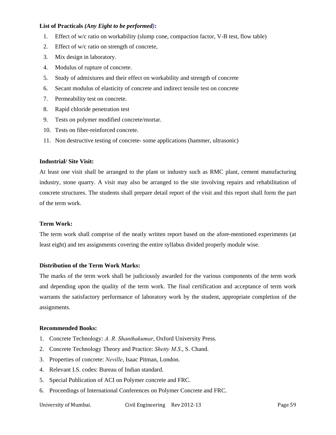## **List of Practicals** *(Any Eight to be performed)***:**

- 1. Effect of w/c ratio on workability (slump cone, compaction factor, V-B test, flow table)
- 2. Effect of w/c ratio on strength of concrete,
- 3. Mix design in laboratory.
- 4. Modulus of rupture of concrete.
- 5. Study of admixtures and their effect on workability and strength of concrete
- 6. Secant modulus of elasticity of concrete and indirect tensile test on concrete
- 7. Permeability test on concrete.
- 8. Rapid chloride penetration test
- 9. Tests on polymer modified concrete/mortar.
- 10. Tests on fiber-reinforced concrete.
- 11. Non destructive testing of concrete- some applications (hammer, ultrasonic)

#### **Industrial/ Site Visit:**

At least one visit shall be arranged to the plant or industry such as RMC plant, cement manufacturing industry, stone quarry. A visit may also be arranged to the site involving repairs and rehabilitation of concrete structures. The students shall prepare detail report of the visit and this report shall form the part of the term work.

#### **Term Work:**

The term work shall comprise of the neatly written report based on the afore-mentioned experiments (at least eight) and ten assignments covering the entire syllabus divided properly module wise.

#### **Distribution of the Term Work Marks:**

The marks of the term work shall be judiciously awarded for the various components of the term work and depending upon the quality of the term work. The final certification and acceptance of term work warrants the satisfactory performance of laboratory work by the student, appropriate completion of the assignments.

#### **Recommended Books:**

- 1. Concrete Technology: *A. R. Shanthakumar*, Oxford University Press.
- 2. Concrete Technology Theory and Practice: *Shetty M.S*., S. Chand.
- 3. Properties of concrete: *Neville*, Isaac Pitman, London.
- 4. Relevant I.S. codes: Bureau of Indian standard.
- 5. Special Publication of ACI on Polymer concrete and FRC.
- 6. Proceedings of International Conferences on Polymer Concrete and FRC.

University of Mumbai. 
Civil Engineering Rev 2012-13 

Civil Engineering Rev 2012-13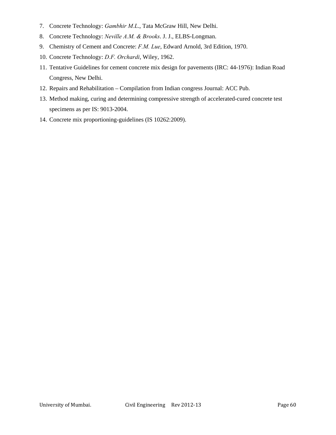- 7. Concrete Technology: *Gambhir M.L*., Tata McGraw Hill, New Delhi.
- 8. Concrete Technology: *Neville A.M. & Brooks*. J. J., ELBS-Longman.
- 9. Chemistry of Cement and Concrete: *F.M. Lue*, Edward Arnold, 3rd Edition, 1970.
- 10. Concrete Technology: *D.F. Orchardi*, Wiley, 1962.
- 11. Tentative Guidelines for cement concrete mix design for pavements (IRC: 44-1976): Indian Road Congress, New Delhi.
- 12. Repairs and Rehabilitation Compilation from Indian congress Journal: ACC Pub.
- 13. Method making, curing and determining compressive strength of accelerated-cured concrete test specimens as per IS: 9013-2004.
- 14. Concrete mix proportioning-guidelines (IS 10262:2009).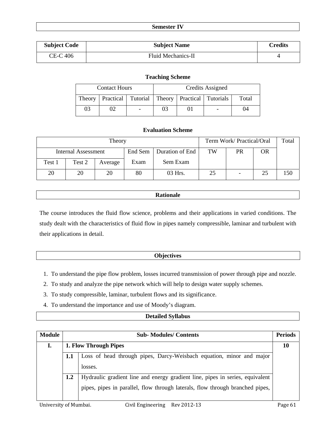| <b>Semester IV</b> |  |
|--------------------|--|
|--------------------|--|

| <b>Subject Code</b> | <b>Subject Name</b> | Credits |
|---------------------|---------------------|---------|
| CE-C 406            | Fluid Mechanics-II  |         |

## **Teaching Scheme**

|        | <b>Contact Hours</b> |                |                                                                |  | Credits Assigned |    |
|--------|----------------------|----------------|----------------------------------------------------------------|--|------------------|----|
| Theory |                      |                | Practical   Tutorial   Theory   Practical   Tutorials<br>Total |  |                  |    |
| 03     |                      | $\blacksquare$ | 03                                                             |  |                  | 04 |

## **Evaluation Scheme**

| Theory |                     |         |         |                 | Term Work/ Practical/Oral |    |    | Total |
|--------|---------------------|---------|---------|-----------------|---------------------------|----|----|-------|
|        | Internal Assessment |         | End Sem | Duration of End | TW                        | PR | OR |       |
| Test 1 | Test 2              | Average | Exam    | Sem Exam        |                           |    |    |       |
| 20     | 20                  | 20      | 80      | 03 Hrs.         | 25                        |    | 25 | 150   |

## **Rationale**

The course introduces the fluid flow science, problems and their applications in varied conditions. The study dealt with the characteristics of fluid flow in pipes namely compressible, laminar and turbulent with their applications in detail.

## **Objectives**

- 1. To understand the pipe flow problem, losses incurred transmission of power through pipe and nozzle.
- 2. To study and analyze the pipe network which will help to design water supply schemes.
- 3. To study compressible, laminar, turbulent flows and its significance.
- 4. To understand the importance and use of Moody's diagram.

## **Detailed Syllabus**

| <b>Module</b> |     | <b>Periods</b><br><b>Sub-Modules/Contents</b>                                                                                                                  |  |  |  |  |  |  |
|---------------|-----|----------------------------------------------------------------------------------------------------------------------------------------------------------------|--|--|--|--|--|--|
|               |     | 1. Flow Through Pipes                                                                                                                                          |  |  |  |  |  |  |
|               | 1.1 | Loss of head through pipes, Darcy-Weisbach equation, minor and major<br>losses.                                                                                |  |  |  |  |  |  |
|               | 1.2 | Hydraulic gradient line and energy gradient line, pipes in series, equivalent<br>pipes, pipes in parallel, flow through laterals, flow through branched pipes, |  |  |  |  |  |  |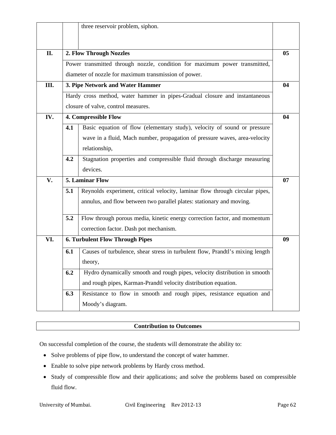|     |     | three reservoir problem, siphon.                                              |                |
|-----|-----|-------------------------------------------------------------------------------|----------------|
| II. |     | 2. Flow Through Nozzles                                                       | 0 <sub>5</sub> |
|     |     |                                                                               |                |
|     |     | Power transmitted through nozzle, condition for maximum power transmitted,    |                |
|     |     | diameter of nozzle for maximum transmission of power.                         |                |
| Ш.  |     | 3. Pipe Network and Water Hammer                                              | 04             |
|     |     | Hardy cross method, water hammer in pipes-Gradual closure and instantaneous   |                |
|     |     | closure of valve, control measures.                                           |                |
| IV. |     | 4. Compressible Flow                                                          | 04             |
|     | 4.1 | Basic equation of flow (elementary study), velocity of sound or pressure      |                |
|     |     | wave in a fluid, Mach number, propagation of pressure waves, area-velocity    |                |
|     |     | relationship,                                                                 |                |
|     | 4.2 | Stagnation properties and compressible fluid through discharge measuring      |                |
|     |     | devices.                                                                      |                |
| V.  |     | 5. Laminar Flow                                                               | 07             |
|     | 5.1 | Reynolds experiment, critical velocity, laminar flow through circular pipes,  |                |
|     |     | annulus, and flow between two parallel plates: stationary and moving.         |                |
|     | 5.2 | Flow through porous media, kinetic energy correction factor, and momentum     |                |
|     |     | correction factor. Dash pot mechanism.                                        |                |
| VI. |     | <b>6. Turbulent Flow Through Pipes</b>                                        | 09             |
|     | 6.1 | Causes of turbulence, shear stress in turbulent flow, Prandtl's mixing length |                |
|     |     | theory,                                                                       |                |
|     | 6.2 | Hydro dynamically smooth and rough pipes, velocity distribution in smooth     |                |
|     |     | and rough pipes, Karman-Prandtl velocity distribution equation.               |                |
|     | 6.3 | Resistance to flow in smooth and rough pipes, resistance equation and         |                |
|     |     | Moody's diagram.                                                              |                |

On successful completion of the course, the students will demonstrate the ability to:

- Solve problems of pipe flow, to understand the concept of water hammer.
- Enable to solve pipe network problems by Hardy cross method.
- Study of compressible flow and their applications; and solve the problems based on compressible fluid flow.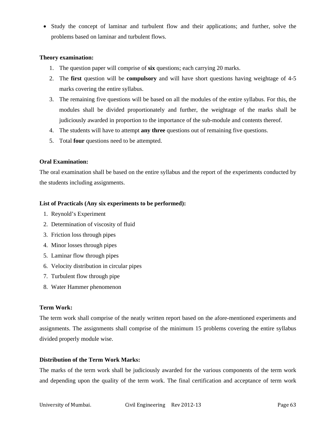• Study the concept of laminar and turbulent flow and their applications; and further, solve the problems based on laminar and turbulent flows.

## **Theory examination:**

- 1. The question paper will comprise of **six** questions; each carrying 20 marks.
- 2. The **first** question will be **compulsory** and will have short questions having weightage of 4-5 marks covering the entire syllabus.
- 3. The remaining five questions will be based on all the modules of the entire syllabus. For this, the modules shall be divided proportionately and further, the weightage of the marks shall be judiciously awarded in proportion to the importance of the sub-module and contents thereof.
- 4. The students will have to attempt **any three** questions out of remaining five questions.
- 5. Total **four** questions need to be attempted.

## **Oral Examination:**

The oral examination shall be based on the entire syllabus and the report of the experiments conducted by the students including assignments.

## **List of Practicals (Any six experiments to be performed):**

- 1. Reynold's Experiment
- 2. Determination of viscosity of fluid
- 3. Friction loss through pipes
- 4. Minor losses through pipes
- 5. Laminar flow through pipes
- 6. Velocity distribution in circular pipes
- 7. Turbulent flow through pipe
- 8. Water Hammer phenomenon

#### **Term Work:**

The term work shall comprise of the neatly written report based on the afore-mentioned experiments and assignments. The assignments shall comprise of the minimum 15 problems covering the entire syllabus divided properly module wise.

## **Distribution of the Term Work Marks:**

The marks of the term work shall be judiciously awarded for the various components of the term work and depending upon the quality of the term work. The final certification and acceptance of term work